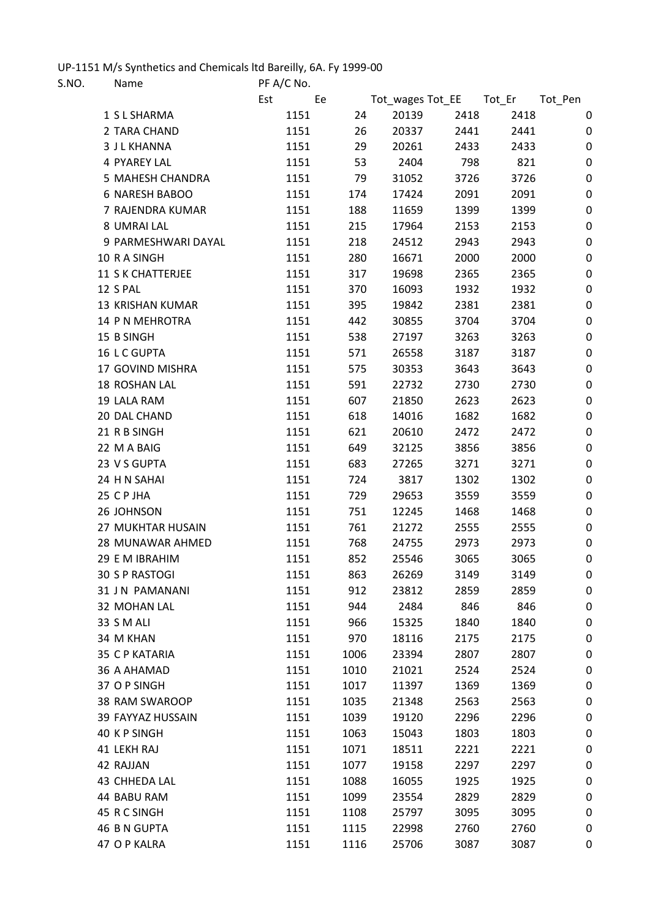## UP-1151 M/s Synthetics and Chemicals ltd Bareilly, 6A. Fy 1999-00<br>S NO Name REA/C No

| S.NO. |            | Name                  | PF A/C No. |      |                         |      |      |         |
|-------|------------|-----------------------|------------|------|-------------------------|------|------|---------|
|       |            |                       | Est        | Ee   | Tot_wages Tot_EE Tot_Er |      |      | Tot_Pen |
|       |            | 1 S L SHARMA          | 1151       | 24   | 20139                   | 2418 | 2418 | 0       |
|       |            | 2 TARA CHAND          | 1151       | 26   | 20337                   | 2441 | 2441 | 0       |
|       |            | <b>3 J L KHANNA</b>   | 1151       | 29   | 20261                   | 2433 | 2433 | 0       |
|       |            | <b>4 PYAREY LAL</b>   | 1151       | 53   | 2404                    | 798  | 821  | 0       |
|       |            | 5 MAHESH CHANDRA      | 1151       | 79   | 31052                   | 3726 | 3726 | 0       |
|       |            | 6 NARESH BABOO        | 1151       | 174  | 17424                   | 2091 | 2091 | 0       |
|       |            | 7 RAJENDRA KUMAR      | 1151       | 188  | 11659                   | 1399 | 1399 | 0       |
|       |            | 8 UMRAI LAL           | 1151       | 215  | 17964                   | 2153 | 2153 | 0       |
|       |            | 9 PARMESHWARI DAYAL   | 1151       | 218  | 24512                   | 2943 | 2943 | 0       |
|       |            | 10 R A SINGH          | 1151       | 280  | 16671                   | 2000 | 2000 | 0       |
|       |            | 11 S K CHATTERJEE     | 1151       | 317  | 19698                   | 2365 | 2365 | 0       |
|       | 12 S PAL   |                       | 1151       | 370  | 16093                   | 1932 | 1932 | 0       |
|       |            | 13 KRISHAN KUMAR      | 1151       | 395  | 19842                   | 2381 | 2381 | 0       |
|       |            | 14 P N MEHROTRA       | 1151       | 442  | 30855                   | 3704 | 3704 | 0       |
|       | 15 B SINGH |                       | 1151       | 538  | 27197                   | 3263 | 3263 | 0       |
|       |            | 16 L C GUPTA          | 1151       | 571  | 26558                   | 3187 | 3187 | 0       |
|       |            | 17 GOVIND MISHRA      | 1151       | 575  | 30353                   | 3643 | 3643 | 0       |
|       |            | 18 ROSHAN LAL         | 1151       | 591  | 22732                   | 2730 | 2730 | 0       |
|       |            | 19 LALA RAM           | 1151       | 607  | 21850                   | 2623 | 2623 | 0       |
|       |            | 20 DAL CHAND          | 1151       | 618  | 14016                   | 1682 | 1682 | 0       |
|       |            | 21 R B SINGH          | 1151       | 621  | 20610                   | 2472 | 2472 | 0       |
|       |            | 22 M A BAIG           | 1151       | 649  | 32125                   | 3856 | 3856 | 0       |
|       |            | 23 V S GUPTA          | 1151       | 683  | 27265                   | 3271 | 3271 | 0       |
|       |            | 24 H N SAHAI          | 1151       | 724  | 3817                    | 1302 | 1302 | 0       |
|       | 25 CP JHA  |                       | 1151       | 729  | 29653                   | 3559 | 3559 | 0       |
|       |            | 26 JOHNSON            | 1151       | 751  | 12245                   | 1468 | 1468 | 0       |
|       |            | 27 MUKHTAR HUSAIN     | 1151       | 761  | 21272                   | 2555 | 2555 | 0       |
|       |            | 28 MUNAWAR AHMED      | 1151       | 768  | 24755                   | 2973 | 2973 | 0       |
|       |            | 29 E M IBRAHIM        | 1151       | 852  | 25546                   | 3065 | 3065 | 0       |
|       |            | 30 S P RASTOGI        | 1151       | 863  | 26269                   | 3149 | 3149 | 0       |
|       |            | 31 J N PAMANANI       | 1151       | 912  | 23812                   | 2859 | 2859 | 0       |
|       |            | 32 MOHAN LAL          | 1151       | 944  | 2484                    | 846  | 846  | 0       |
|       | 33 S M ALI |                       | 1151       | 966  | 15325                   | 1840 | 1840 | 0       |
|       | 34 M KHAN  |                       | 1151       | 970  | 18116                   | 2175 | 2175 | 0       |
|       |            | <b>35 C P KATARIA</b> | 1151       | 1006 | 23394                   | 2807 | 2807 | 0       |
|       |            | 36 A AHAMAD           | 1151       | 1010 | 21021                   | 2524 | 2524 | 0       |
|       |            | 37 O P SINGH          | 1151       | 1017 | 11397                   | 1369 | 1369 | 0       |
|       |            | 38 RAM SWAROOP        | 1151       | 1035 | 21348                   | 2563 | 2563 | 0       |
|       |            | 39 FAYYAZ HUSSAIN     | 1151       | 1039 | 19120                   | 2296 | 2296 | 0       |
|       |            | 40 KP SINGH           | 1151       | 1063 | 15043                   | 1803 | 1803 | 0       |
|       |            | 41 LEKH RAJ           | 1151       | 1071 | 18511                   | 2221 | 2221 | 0       |
|       | 42 RAJJAN  |                       | 1151       | 1077 | 19158                   | 2297 | 2297 | 0       |
|       |            | 43 CHHEDA LAL         | 1151       | 1088 | 16055                   | 1925 | 1925 | 0       |
|       |            | 44 BABU RAM           | 1151       | 1099 | 23554                   | 2829 | 2829 | 0       |
|       |            | 45 R C SINGH          | 1151       | 1108 | 25797                   | 3095 | 3095 | 0       |
|       |            | <b>46 B N GUPTA</b>   | 1151       | 1115 | 22998                   | 2760 | 2760 | 0       |
|       |            | 47 O P KALRA          | 1151       | 1116 | 25706                   | 3087 | 3087 | 0       |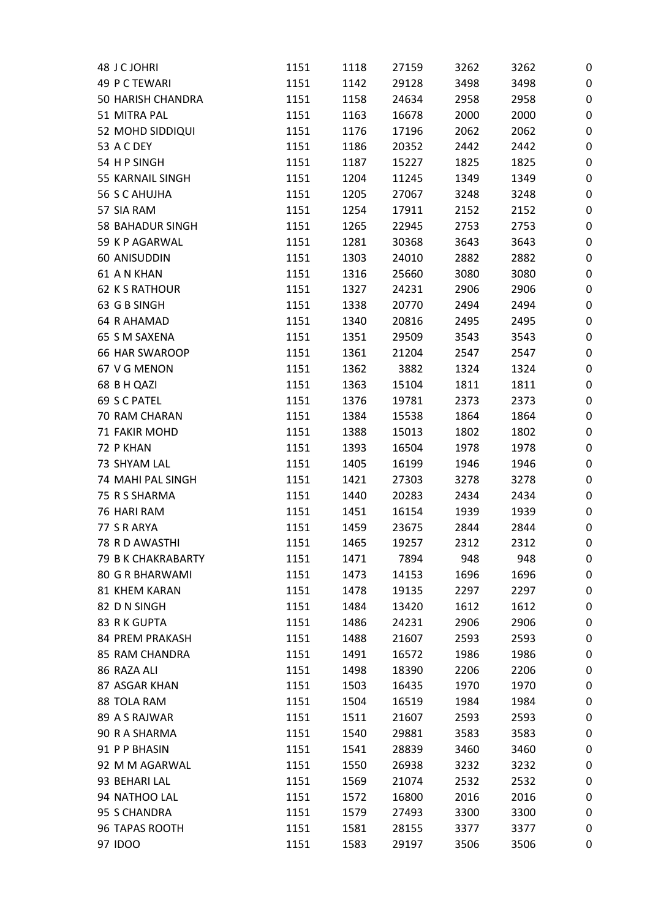| 48 J C JOHRI            | 1151 | 1118 | 27159 | 3262 | 3262 | 0                |
|-------------------------|------|------|-------|------|------|------------------|
| 49 P C TEWARI           | 1151 | 1142 | 29128 | 3498 | 3498 | 0                |
| 50 HARISH CHANDRA       | 1151 | 1158 | 24634 | 2958 | 2958 | $\boldsymbol{0}$ |
| 51 MITRA PAL            | 1151 | 1163 | 16678 | 2000 | 2000 | 0                |
| 52 MOHD SIDDIQUI        | 1151 | 1176 | 17196 | 2062 | 2062 | 0                |
| <b>53 A C DEY</b>       | 1151 | 1186 | 20352 | 2442 | 2442 | $\boldsymbol{0}$ |
| 54 HP SINGH             | 1151 | 1187 | 15227 | 1825 | 1825 | 0                |
| 55 KARNAIL SINGH        | 1151 | 1204 | 11245 | 1349 | 1349 | 0                |
| <b>56 S C AHUJHA</b>    | 1151 | 1205 | 27067 | 3248 | 3248 | $\boldsymbol{0}$ |
| 57 SIA RAM              | 1151 | 1254 | 17911 | 2152 | 2152 | $\boldsymbol{0}$ |
| <b>58 BAHADUR SINGH</b> | 1151 | 1265 | 22945 | 2753 | 2753 | $\boldsymbol{0}$ |
| 59 K P AGARWAL          | 1151 | 1281 | 30368 | 3643 | 3643 | 0                |
| 60 ANISUDDIN            | 1151 | 1303 | 24010 | 2882 | 2882 | 0                |
| <b>61 AN KHAN</b>       | 1151 | 1316 | 25660 | 3080 | 3080 | 0                |
| <b>62 K S RATHOUR</b>   | 1151 | 1327 | 24231 | 2906 | 2906 | $\boldsymbol{0}$ |
| 63 G B SINGH            | 1151 | 1338 | 20770 | 2494 | 2494 | $\boldsymbol{0}$ |
| <b>64 R AHAMAD</b>      | 1151 | 1340 | 20816 | 2495 | 2495 | 0                |
| 65 S M SAXENA           | 1151 | 1351 | 29509 | 3543 | 3543 | 0                |
| <b>66 HAR SWAROOP</b>   | 1151 | 1361 | 21204 | 2547 | 2547 | $\boldsymbol{0}$ |
| 67 V G MENON            | 1151 | 1362 | 3882  | 1324 | 1324 | $\mathbf 0$      |
| 68 B H QAZI             | 1151 | 1363 | 15104 | 1811 | 1811 | $\mathbf 0$      |
| 69 S C PATEL            | 1151 | 1376 | 19781 | 2373 | 2373 | $\mathbf 0$      |
| 70 RAM CHARAN           | 1151 | 1384 | 15538 | 1864 | 1864 | 0                |
| 71 FAKIR MOHD           | 1151 | 1388 | 15013 | 1802 | 1802 | 0                |
| 72 P KHAN               | 1151 | 1393 | 16504 | 1978 | 1978 | $\boldsymbol{0}$ |
| 73 SHYAM LAL            | 1151 | 1405 | 16199 | 1946 | 1946 | 0                |
| 74 MAHI PAL SINGH       | 1151 | 1421 | 27303 | 3278 | 3278 | 0                |
| 75 R S SHARMA           | 1151 | 1440 | 20283 | 2434 | 2434 | 0                |
| 76 HARI RAM             | 1151 | 1451 | 16154 | 1939 | 1939 | 0                |
| 77 S R ARYA             | 1151 | 1459 | 23675 | 2844 | 2844 | 0                |
| 78 R D AWASTHI          | 1151 | 1465 | 19257 | 2312 | 2312 | 0                |
| 79 B K CHAKRABARTY      | 1151 | 1471 | 7894  | 948  | 948  | 0                |
| <b>80 G R BHARWAMI</b>  | 1151 | 1473 | 14153 | 1696 | 1696 | 0                |
| <b>81 KHEM KARAN</b>    | 1151 | 1478 | 19135 | 2297 | 2297 | 0                |
| 82 D N SINGH            | 1151 | 1484 | 13420 | 1612 | 1612 | 0                |
| 83 R K GUPTA            | 1151 | 1486 | 24231 | 2906 | 2906 | 0                |
| 84 PREM PRAKASH         |      | 1488 | 21607 | 2593 | 2593 |                  |
| <b>85 RAM CHANDRA</b>   | 1151 |      |       |      |      | 0                |
|                         | 1151 | 1491 | 16572 | 1986 | 1986 | $\boldsymbol{0}$ |
| 86 RAZA ALI             | 1151 | 1498 | 18390 | 2206 | 2206 | 0                |
| 87 ASGAR KHAN           | 1151 | 1503 | 16435 | 1970 | 1970 | 0                |
| 88 TOLA RAM             | 1151 | 1504 | 16519 | 1984 | 1984 | $\mathbf 0$      |
| 89 A S RAJWAR           | 1151 | 1511 | 21607 | 2593 | 2593 | 0                |
| 90 R A SHARMA           | 1151 | 1540 | 29881 | 3583 | 3583 | 0                |
| 91 P P BHASIN           | 1151 | 1541 | 28839 | 3460 | 3460 | 0                |
| 92 M M AGARWAL          | 1151 | 1550 | 26938 | 3232 | 3232 | 0                |
| 93 BEHARI LAL           | 1151 | 1569 | 21074 | 2532 | 2532 | 0                |
| 94 NATHOO LAL           | 1151 | 1572 | 16800 | 2016 | 2016 | $\boldsymbol{0}$ |
| 95 S CHANDRA            | 1151 | 1579 | 27493 | 3300 | 3300 | 0                |
| 96 TAPAS ROOTH          | 1151 | 1581 | 28155 | 3377 | 3377 | 0                |
| 97 IDOO                 | 1151 | 1583 | 29197 | 3506 | 3506 | 0                |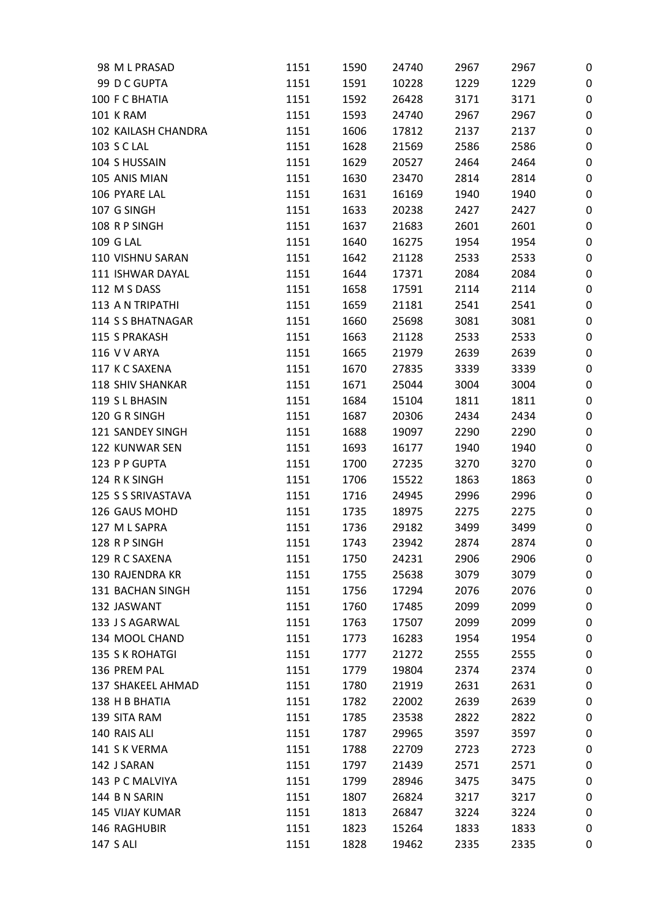| 98 M L PRASAD           | 1151 | 1590 | 24740 | 2967 | 2967 | 0                |
|-------------------------|------|------|-------|------|------|------------------|
| 99 D C GUPTA            | 1151 | 1591 | 10228 | 1229 | 1229 | 0                |
| 100 F C BHATIA          | 1151 | 1592 | 26428 | 3171 | 3171 | 0                |
| <b>101 K RAM</b>        | 1151 | 1593 | 24740 | 2967 | 2967 | 0                |
| 102 KAILASH CHANDRA     | 1151 | 1606 | 17812 | 2137 | 2137 | $\boldsymbol{0}$ |
| 103 S C LAL             | 1151 | 1628 | 21569 | 2586 | 2586 | 0                |
| 104 S HUSSAIN           | 1151 | 1629 | 20527 | 2464 | 2464 | 0                |
| 105 ANIS MIAN           | 1151 | 1630 | 23470 | 2814 | 2814 | 0                |
| 106 PYARE LAL           | 1151 | 1631 | 16169 | 1940 | 1940 | 0                |
| 107 G SINGH             | 1151 | 1633 | 20238 | 2427 | 2427 | 0                |
| 108 R P SINGH           | 1151 | 1637 | 21683 | 2601 | 2601 | 0                |
| 109 G LAL               | 1151 | 1640 | 16275 | 1954 | 1954 | $\boldsymbol{0}$ |
| 110 VISHNU SARAN        | 1151 | 1642 | 21128 | 2533 | 2533 | 0                |
| 111 ISHWAR DAYAL        | 1151 | 1644 | 17371 | 2084 | 2084 | 0                |
| 112 M S DASS            | 1151 | 1658 | 17591 | 2114 | 2114 | $\boldsymbol{0}$ |
| 113 A N TRIPATHI        | 1151 | 1659 | 21181 | 2541 | 2541 | 0                |
| 114 S S BHATNAGAR       | 1151 | 1660 | 25698 | 3081 | 3081 | 0                |
| 115 S PRAKASH           | 1151 | 1663 | 21128 | 2533 | 2533 | 0                |
| <b>116 V V ARYA</b>     | 1151 | 1665 | 21979 | 2639 | 2639 | 0                |
| 117 K C SAXENA          | 1151 | 1670 | 27835 | 3339 | 3339 | 0                |
| <b>118 SHIV SHANKAR</b> | 1151 | 1671 | 25044 | 3004 | 3004 | $\boldsymbol{0}$ |
| 119 S L BHASIN          | 1151 | 1684 | 15104 | 1811 | 1811 | 0                |
| 120 G R SINGH           | 1151 | 1687 | 20306 | 2434 | 2434 | 0                |
| 121 SANDEY SINGH        | 1151 | 1688 | 19097 | 2290 | 2290 | 0                |
| 122 KUNWAR SEN          | 1151 | 1693 | 16177 | 1940 | 1940 | 0                |
| 123 P P GUPTA           | 1151 | 1700 | 27235 | 3270 | 3270 | 0                |
| 124 R K SINGH           | 1151 | 1706 | 15522 | 1863 | 1863 | 0                |
| 125 S S SRIVASTAVA      | 1151 | 1716 | 24945 | 2996 | 2996 | 0                |
| 126 GAUS MOHD           | 1151 | 1735 | 18975 | 2275 | 2275 | 0                |
| 127 M L SAPRA           | 1151 | 1736 | 29182 | 3499 | 3499 | 0                |
| 128 R P SINGH           | 1151 | 1743 | 23942 | 2874 | 2874 | 0                |
| 129 R C SAXENA          | 1151 | 1750 | 24231 | 2906 | 2906 | 0                |
| 130 RAJENDRA KR         | 1151 | 1755 | 25638 | 3079 | 3079 | 0                |
| 131 BACHAN SINGH        | 1151 | 1756 | 17294 | 2076 | 2076 | 0                |
| 132 JASWANT             | 1151 | 1760 | 17485 | 2099 | 2099 | 0                |
| 133 J S AGARWAL         | 1151 | 1763 | 17507 | 2099 | 2099 | 0                |
| 134 MOOL CHAND          | 1151 | 1773 | 16283 | 1954 | 1954 | 0                |
| 135 S K ROHATGI         | 1151 | 1777 | 21272 | 2555 | 2555 | 0                |
| 136 PREM PAL            | 1151 | 1779 | 19804 | 2374 | 2374 | 0                |
| 137 SHAKEEL AHMAD       | 1151 | 1780 | 21919 | 2631 | 2631 | 0                |
| 138 H B BHATIA          | 1151 | 1782 | 22002 | 2639 | 2639 | 0                |
| 139 SITA RAM            | 1151 | 1785 | 23538 | 2822 | 2822 | 0                |
| 140 RAIS ALI            | 1151 | 1787 | 29965 | 3597 | 3597 | $\boldsymbol{0}$ |
| 141 S K VERMA           | 1151 | 1788 | 22709 | 2723 | 2723 | 0                |
| 142 J SARAN             | 1151 | 1797 | 21439 | 2571 | 2571 |                  |
|                         |      |      |       |      |      | 0                |
| 143 P C MALVIYA         | 1151 | 1799 | 28946 | 3475 | 3475 | 0                |
| 144 B N SARIN           | 1151 | 1807 | 26824 | 3217 | 3217 | 0                |
| <b>145 VIJAY KUMAR</b>  | 1151 | 1813 | 26847 | 3224 | 3224 | 0                |
| 146 RAGHUBIR            | 1151 | 1823 | 15264 | 1833 | 1833 | 0                |
| 147 S ALI               | 1151 | 1828 | 19462 | 2335 | 2335 | 0                |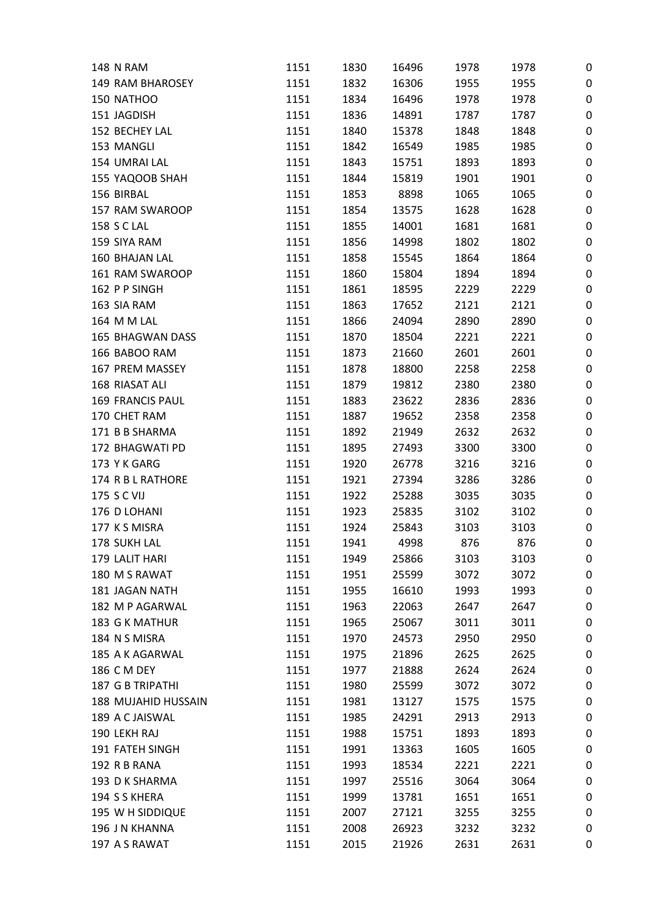| <b>148 N RAM</b>                | 1151 | 1830 | 16496 | 1978 | 1978        | 0                |
|---------------------------------|------|------|-------|------|-------------|------------------|
| 149 RAM BHAROSEY                | 1151 | 1832 | 16306 | 1955 | 1955        | 0                |
| 150 NATHOO                      | 1151 | 1834 | 16496 | 1978 | 1978        | $\mathbf 0$      |
| 151 JAGDISH                     | 1151 | 1836 | 14891 | 1787 | 1787        | 0                |
| 152 BECHEY LAL                  | 1151 | 1840 | 15378 | 1848 | 1848        | 0                |
| 153 MANGLI                      | 1151 | 1842 | 16549 | 1985 | 1985        | $\boldsymbol{0}$ |
| 154 UMRAI LAL                   | 1151 | 1843 | 15751 | 1893 | 1893        | 0                |
| 155 YAQOOB SHAH                 | 1151 | 1844 | 15819 | 1901 | 1901        | 0                |
| 156 BIRBAL                      | 1151 | 1853 | 8898  | 1065 | 1065        | $\mathbf 0$      |
| 157 RAM SWAROOP                 | 1151 | 1854 | 13575 | 1628 | 1628        | 0                |
| <b>158 S C LAL</b>              | 1151 | 1855 | 14001 | 1681 | 1681        | 0                |
| 159 SIYA RAM                    | 1151 | 1856 | 14998 | 1802 | 1802        | 0                |
| 160 BHAJAN LAL                  | 1151 | 1858 | 15545 | 1864 | 1864        | 0                |
| 161 RAM SWAROOP                 | 1151 | 1860 | 15804 | 1894 | 1894        | 0                |
| 162 P P SINGH                   | 1151 | 1861 | 18595 | 2229 | 2229        | $\mathbf 0$      |
| 163 SIA RAM                     | 1151 | 1863 | 17652 | 2121 | 2121        | $\mathbf 0$      |
| 164 M M LAL                     | 1151 | 1866 | 24094 | 2890 | 2890        | 0                |
| 165 BHAGWAN DASS                | 1151 | 1870 | 18504 | 2221 | 2221        | 0                |
| 166 BABOO RAM                   | 1151 | 1873 | 21660 | 2601 | 2601        | 0                |
| 167 PREM MASSEY                 | 1151 | 1878 | 18800 | 2258 | 2258        | 0                |
| 168 RIASAT ALI                  | 1151 | 1879 | 19812 | 2380 | 2380        | 0                |
| <b>169 FRANCIS PAUL</b>         | 1151 | 1883 | 23622 | 2836 | 2836        | 0                |
| 170 CHET RAM                    | 1151 | 1887 | 19652 | 2358 | 2358        | 0                |
| 171 B B SHARMA                  | 1151 | 1892 | 21949 | 2632 | 2632        | 0                |
| 172 BHAGWATI PD                 | 1151 | 1895 | 27493 | 3300 | 3300        | $\boldsymbol{0}$ |
| 173 Y K GARG                    | 1151 | 1920 | 26778 | 3216 | 3216        | 0                |
| 174 R B L RATHORE               | 1151 | 1921 | 27394 | 3286 | 3286        | 0                |
| 175 S C VIJ                     | 1151 | 1922 | 25288 | 3035 | 3035        | 0                |
| 176 D LOHANI                    | 1151 | 1923 | 25835 | 3102 | 3102        | 0                |
| 177 K S MISRA                   | 1151 | 1924 | 25843 | 3103 |             |                  |
| 178 SUKH LAL                    | 1151 | 1941 | 4998  | 876  | 3103<br>876 | 0                |
|                                 |      |      |       |      |             | 0                |
| 179 LALIT HARI<br>180 M S RAWAT | 1151 | 1949 | 25866 | 3103 | 3103        | 0                |
|                                 | 1151 | 1951 | 25599 | 3072 | 3072        | 0                |
| 181 JAGAN NATH                  | 1151 | 1955 | 16610 | 1993 | 1993        | 0                |
| 182 M P AGARWAL                 | 1151 | 1963 | 22063 | 2647 | 2647        | 0                |
| 183 G K MATHUR                  | 1151 | 1965 | 25067 | 3011 | 3011        | 0                |
| 184 N S MISRA                   | 1151 | 1970 | 24573 | 2950 | 2950        | 0                |
| 185 A K AGARWAL                 | 1151 | 1975 | 21896 | 2625 | 2625        | $\boldsymbol{0}$ |
| 186 C M DEY                     | 1151 | 1977 | 21888 | 2624 | 2624        | 0                |
| <b>187 G B TRIPATHI</b>         | 1151 | 1980 | 25599 | 3072 | 3072        | 0                |
| 188 MUJAHID HUSSAIN             | 1151 | 1981 | 13127 | 1575 | 1575        | $\boldsymbol{0}$ |
| 189 A C JAISWAL                 | 1151 | 1985 | 24291 | 2913 | 2913        | 0                |
| 190 LEKH RAJ                    | 1151 | 1988 | 15751 | 1893 | 1893        | 0                |
| 191 FATEH SINGH                 | 1151 | 1991 | 13363 | 1605 | 1605        | 0                |
| 192 R B RANA                    | 1151 | 1993 | 18534 | 2221 | 2221        | 0                |
| 193 D K SHARMA                  | 1151 | 1997 | 25516 | 3064 | 3064        | 0                |
| 194 S S KHERA                   | 1151 | 1999 | 13781 | 1651 | 1651        | $\boldsymbol{0}$ |
| 195 W H SIDDIQUE                | 1151 | 2007 | 27121 | 3255 | 3255        | 0                |
| 196 J N KHANNA                  | 1151 | 2008 | 26923 | 3232 | 3232        | 0                |
| 197 A S RAWAT                   | 1151 | 2015 | 21926 | 2631 | 2631        | 0                |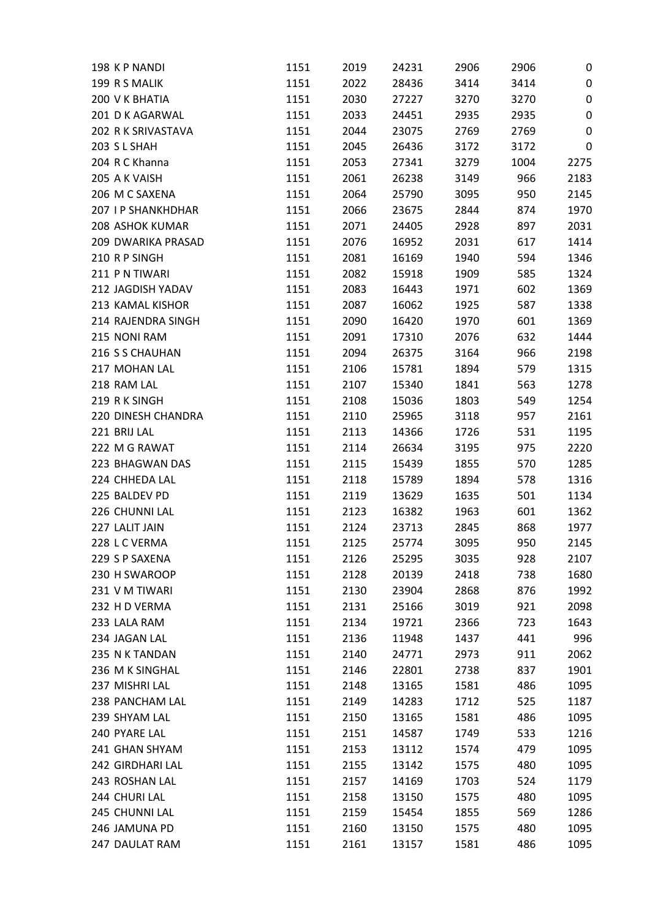| 198 KP NANDI           | 1151 | 2019 | 24231 | 2906 | 2906 | 0         |
|------------------------|------|------|-------|------|------|-----------|
| 199 R S MALIK          | 1151 | 2022 | 28436 | 3414 | 3414 | $\pmb{0}$ |
| 200 V K BHATIA         | 1151 | 2030 | 27227 | 3270 | 3270 | $\pmb{0}$ |
| 201 D K AGARWAL        | 1151 | 2033 | 24451 | 2935 | 2935 | $\pmb{0}$ |
| 202 R K SRIVASTAVA     | 1151 | 2044 | 23075 | 2769 | 2769 | 0         |
| 203 SL SHAH            | 1151 | 2045 | 26436 | 3172 | 3172 | $\pmb{0}$ |
| 204 R C Khanna         | 1151 | 2053 | 27341 | 3279 | 1004 | 2275      |
| 205 A K VAISH          | 1151 | 2061 | 26238 | 3149 | 966  | 2183      |
| 206 M C SAXENA         | 1151 | 2064 | 25790 | 3095 | 950  | 2145      |
| 207 I P SHANKHDHAR     | 1151 | 2066 | 23675 | 2844 | 874  | 1970      |
| <b>208 ASHOK KUMAR</b> | 1151 | 2071 | 24405 | 2928 | 897  | 2031      |
| 209 DWARIKA PRASAD     | 1151 | 2076 | 16952 | 2031 | 617  | 1414      |
| 210 R P SINGH          | 1151 | 2081 | 16169 | 1940 | 594  | 1346      |
| 211 PN TIWARI          | 1151 | 2082 | 15918 | 1909 | 585  | 1324      |
| 212 JAGDISH YADAV      | 1151 | 2083 | 16443 | 1971 | 602  | 1369      |
| 213 KAMAL KISHOR       | 1151 | 2087 | 16062 | 1925 | 587  | 1338      |
| 214 RAJENDRA SINGH     | 1151 | 2090 | 16420 | 1970 | 601  | 1369      |
| 215 NONI RAM           | 1151 | 2091 | 17310 | 2076 | 632  | 1444      |
| 216 S S CHAUHAN        | 1151 | 2094 | 26375 | 3164 | 966  | 2198      |
| 217 MOHAN LAL          | 1151 | 2106 | 15781 | 1894 | 579  | 1315      |
| 218 RAM LAL            | 1151 | 2107 | 15340 | 1841 | 563  | 1278      |
| 219 RK SINGH           | 1151 | 2108 | 15036 | 1803 | 549  | 1254      |
| 220 DINESH CHANDRA     | 1151 | 2110 | 25965 | 3118 | 957  | 2161      |
| 221 BRIJ LAL           | 1151 | 2113 | 14366 | 1726 | 531  | 1195      |
| 222 M G RAWAT          | 1151 | 2114 | 26634 | 3195 | 975  | 2220      |
| 223 BHAGWAN DAS        | 1151 |      |       | 1855 | 570  | 1285      |
| 224 CHHEDA LAL         |      | 2115 | 15439 |      |      |           |
| 225 BALDEV PD          | 1151 | 2118 | 15789 | 1894 | 578  | 1316      |
|                        | 1151 | 2119 | 13629 | 1635 | 501  | 1134      |
| 226 CHUNNI LAL         | 1151 | 2123 | 16382 | 1963 | 601  | 1362      |
| 227 LALIT JAIN         | 1151 | 2124 | 23713 | 2845 | 868  | 1977      |
| 228 L C VERMA          | 1151 | 2125 | 25774 | 3095 | 950  | 2145      |
| 229 S P SAXENA         | 1151 | 2126 | 25295 | 3035 | 928  | 2107      |
| 230 H SWAROOP          | 1151 | 2128 | 20139 | 2418 | 738  | 1680      |
| 231 V M TIWARI         | 1151 | 2130 | 23904 | 2868 | 876  | 1992      |
| 232 H D VERMA          | 1151 | 2131 | 25166 | 3019 | 921  | 2098      |
| 233 LALA RAM           | 1151 | 2134 | 19721 | 2366 | 723  | 1643      |
| 234 JAGAN LAL          | 1151 | 2136 | 11948 | 1437 | 441  | 996       |
| 235 N K TANDAN         | 1151 | 2140 | 24771 | 2973 | 911  | 2062      |
| 236 M K SINGHAL        | 1151 | 2146 | 22801 | 2738 | 837  | 1901      |
| 237 MISHRI LAL         | 1151 | 2148 | 13165 | 1581 | 486  | 1095      |
| 238 PANCHAM LAL        | 1151 | 2149 | 14283 | 1712 | 525  | 1187      |
| 239 SHYAM LAL          | 1151 | 2150 | 13165 | 1581 | 486  | 1095      |
| 240 PYARE LAL          | 1151 | 2151 | 14587 | 1749 | 533  | 1216      |
| 241 GHAN SHYAM         | 1151 | 2153 | 13112 | 1574 | 479  | 1095      |
| 242 GIRDHARI LAL       | 1151 | 2155 | 13142 | 1575 | 480  | 1095      |
| 243 ROSHAN LAL         | 1151 | 2157 | 14169 | 1703 | 524  | 1179      |
| 244 CHURI LAL          | 1151 | 2158 | 13150 | 1575 | 480  | 1095      |
| 245 CHUNNI LAL         | 1151 | 2159 | 15454 | 1855 | 569  | 1286      |
| 246 JAMUNA PD          | 1151 | 2160 | 13150 | 1575 | 480  | 1095      |
| 247 DAULAT RAM         | 1151 | 2161 | 13157 | 1581 | 486  | 1095      |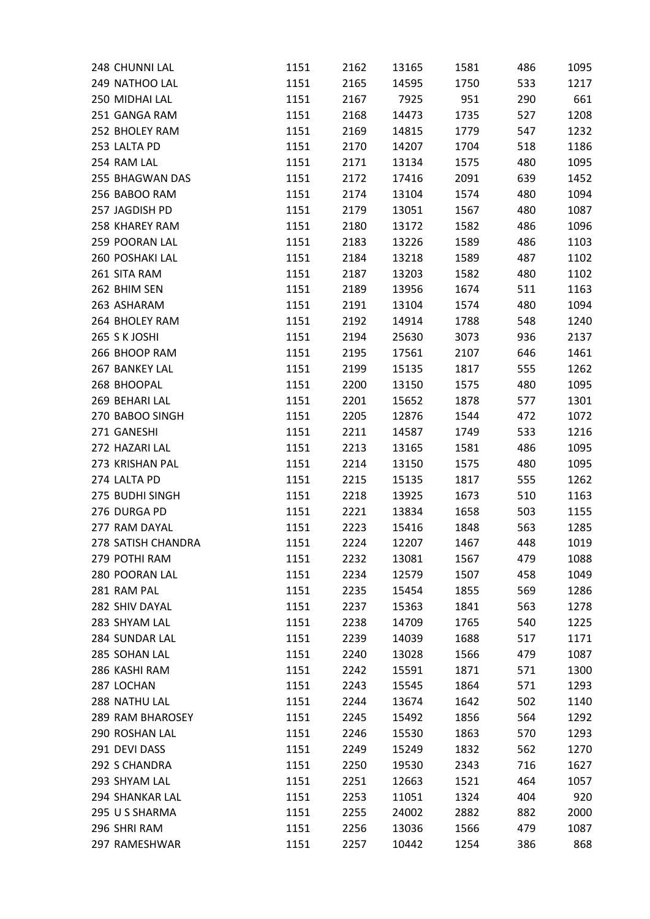| 248 CHUNNI LAL                | 1151 | 2162 | 13165 | 1581 | 486 | 1095 |
|-------------------------------|------|------|-------|------|-----|------|
| 249 NATHOO LAL                | 1151 | 2165 | 14595 | 1750 | 533 | 1217 |
| 250 MIDHAI LAL                | 1151 | 2167 | 7925  | 951  | 290 | 661  |
| 251 GANGA RAM                 | 1151 | 2168 | 14473 | 1735 | 527 | 1208 |
| 252 BHOLEY RAM                | 1151 | 2169 | 14815 | 1779 | 547 | 1232 |
| 253 LALTA PD                  | 1151 | 2170 | 14207 | 1704 | 518 | 1186 |
| 254 RAM LAL                   | 1151 | 2171 | 13134 | 1575 | 480 | 1095 |
| 255 BHAGWAN DAS               | 1151 | 2172 | 17416 | 2091 | 639 | 1452 |
| 256 BABOO RAM                 | 1151 | 2174 | 13104 | 1574 | 480 | 1094 |
| 257 JAGDISH PD                | 1151 | 2179 | 13051 | 1567 | 480 | 1087 |
| 258 KHAREY RAM                | 1151 | 2180 | 13172 | 1582 | 486 | 1096 |
| 259 POORAN LAL                | 1151 | 2183 | 13226 | 1589 | 486 | 1103 |
| 260 POSHAKI LAL               | 1151 | 2184 | 13218 | 1589 | 487 | 1102 |
| 261 SITA RAM                  | 1151 | 2187 | 13203 | 1582 | 480 | 1102 |
| 262 BHIM SEN                  | 1151 | 2189 | 13956 | 1674 | 511 | 1163 |
| 263 ASHARAM                   | 1151 | 2191 | 13104 | 1574 | 480 | 1094 |
| 264 BHOLEY RAM                | 1151 | 2192 | 14914 | 1788 | 548 | 1240 |
| 265 S K JOSHI                 | 1151 | 2194 | 25630 | 3073 | 936 | 2137 |
| 266 BHOOP RAM                 | 1151 | 2195 | 17561 | 2107 | 646 | 1461 |
| 267 BANKEY LAL                | 1151 | 2199 | 15135 | 1817 | 555 | 1262 |
| 268 BHOOPAL                   | 1151 | 2200 | 13150 | 1575 | 480 | 1095 |
| 269 BEHARI LAL                | 1151 | 2201 | 15652 | 1878 | 577 | 1301 |
| 270 BABOO SINGH               | 1151 | 2205 | 12876 | 1544 | 472 | 1072 |
| 271 GANESHI                   | 1151 | 2211 | 14587 | 1749 | 533 | 1216 |
| 272 HAZARI LAL                | 1151 | 2213 | 13165 | 1581 | 486 | 1095 |
| 273 KRISHAN PAL               | 1151 | 2214 | 13150 | 1575 | 480 | 1095 |
| 274 LALTA PD                  |      |      |       |      |     | 1262 |
| 275 BUDHI SINGH               | 1151 | 2215 | 15135 | 1817 | 555 |      |
|                               | 1151 | 2218 | 13925 | 1673 | 510 | 1163 |
| 276 DURGA PD<br>277 RAM DAYAL | 1151 | 2221 | 13834 | 1658 | 503 | 1155 |
|                               | 1151 | 2223 | 15416 | 1848 | 563 | 1285 |
| 278 SATISH CHANDRA            | 1151 | 2224 | 12207 | 1467 | 448 | 1019 |
| 279 POTHI RAM                 | 1151 | 2232 | 13081 | 1567 | 479 | 1088 |
| 280 POORAN LAL                | 1151 | 2234 | 12579 | 1507 | 458 | 1049 |
| 281 RAM PAL                   | 1151 | 2235 | 15454 | 1855 | 569 | 1286 |
| 282 SHIV DAYAL                | 1151 | 2237 | 15363 | 1841 | 563 | 1278 |
| 283 SHYAM LAL                 | 1151 | 2238 | 14709 | 1765 | 540 | 1225 |
| 284 SUNDAR LAL                | 1151 | 2239 | 14039 | 1688 | 517 | 1171 |
| 285 SOHAN LAL                 | 1151 | 2240 | 13028 | 1566 | 479 | 1087 |
| 286 KASHI RAM                 | 1151 | 2242 | 15591 | 1871 | 571 | 1300 |
| 287 LOCHAN                    | 1151 | 2243 | 15545 | 1864 | 571 | 1293 |
| 288 NATHU LAL                 | 1151 | 2244 | 13674 | 1642 | 502 | 1140 |
| 289 RAM BHAROSEY              | 1151 | 2245 | 15492 | 1856 | 564 | 1292 |
| 290 ROSHAN LAL                | 1151 | 2246 | 15530 | 1863 | 570 | 1293 |
| 291 DEVI DASS                 | 1151 | 2249 | 15249 | 1832 | 562 | 1270 |
| 292 S CHANDRA                 | 1151 | 2250 | 19530 | 2343 | 716 | 1627 |
| 293 SHYAM LAL                 | 1151 | 2251 | 12663 | 1521 | 464 | 1057 |
| 294 SHANKAR LAL               | 1151 | 2253 | 11051 | 1324 | 404 | 920  |
| 295 U S SHARMA                | 1151 | 2255 | 24002 | 2882 | 882 | 2000 |
| 296 SHRI RAM                  | 1151 | 2256 | 13036 | 1566 | 479 | 1087 |
| 297 RAMESHWAR                 | 1151 | 2257 | 10442 | 1254 | 386 | 868  |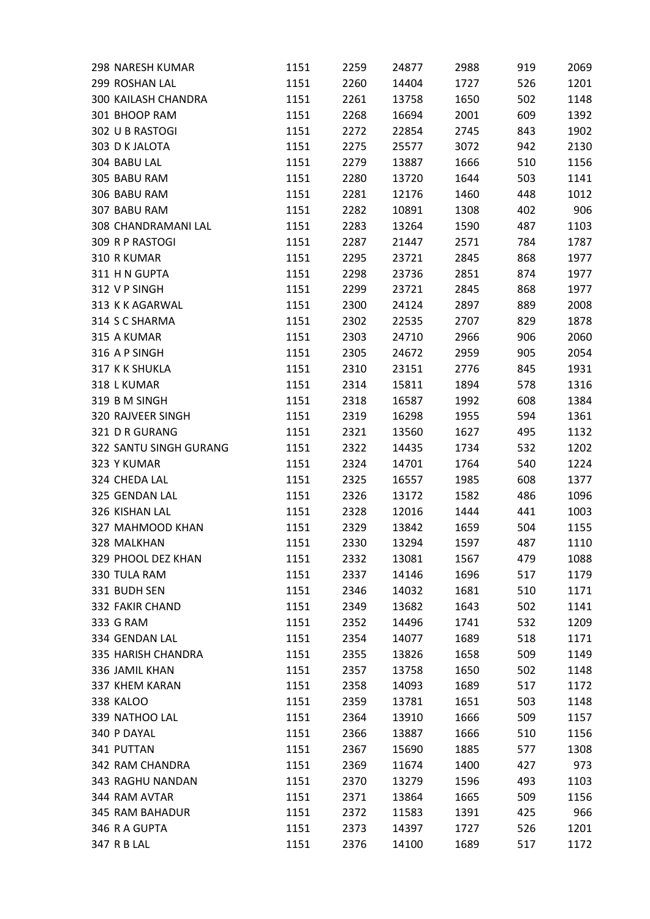| 299 ROSHAN LAL<br>1201<br>1151<br>2260<br>14404<br>1727<br>526<br>300 KAILASH CHANDRA<br>1151<br>2261<br>13758<br>1650<br>502<br>1148<br>301 BHOOP RAM<br>2001<br>1392<br>1151<br>2268<br>16694<br>609<br>302 U B RASTOGI<br>1151<br>2272<br>22854<br>2745<br>843<br>1902<br>303 D K JALOTA<br>1151<br>2275<br>3072<br>942<br>2130<br>25577<br>304 BABU LAL<br>1666<br>1151<br>2279<br>13887<br>510<br>1156<br>305 BABU RAM<br>1644<br>503<br>1151<br>2280<br>13720<br>1141<br>306 BABU RAM<br>1012<br>1151<br>2281<br>12176<br>1460<br>448<br>307 BABU RAM<br>1151<br>2282<br>1308<br>402<br>906<br>10891<br>308 CHANDRAMANI LAL<br>1151<br>2283<br>13264<br>1590<br>487<br>1103<br>309 R P RASTOGI<br>1151<br>2287<br>21447<br>2571<br>784<br>1787<br>310 R KUMAR<br>1151<br>2295<br>23721<br>2845<br>868<br>1977<br>311 H N GUPTA<br>2851<br>1977<br>1151<br>2298<br>23736<br>874<br>312 V P SINGH<br>1151<br>2299<br>23721<br>2845<br>868<br>1977<br>313 K K AGARWAL<br>2008<br>1151<br>2300<br>24124<br>2897<br>889<br>314 S C SHARMA<br>1151<br>2302<br>2707<br>829<br>1878<br>22535<br>315 A KUMAR<br>2060<br>1151<br>2303<br>24710<br>2966<br>906<br>2054<br>316 A P SINGH<br>1151<br>2305<br>24672<br>2959<br>905<br>317 K K SHUKLA<br>1151<br>2310<br>2776<br>845<br>1931<br>23151<br>1316<br>318 L KUMAR<br>1151<br>2314<br>15811<br>1894<br>578<br>319 B M SINGH<br>1151<br>2318<br>16587<br>1992<br>608<br>1384<br>320 RAJVEER SINGH<br>1955<br>1361<br>1151<br>2319<br>16298<br>594<br>321 D R GURANG<br>1151<br>1627<br>1132<br>2321<br>13560<br>495<br>322 SANTU SINGH GURANG<br>1151<br>2322<br>1734<br>532<br>1202<br>14435<br>323 Y KUMAR<br>1151<br>2324<br>14701<br>1764<br>540<br>1224<br>324 CHEDA LAL<br>1985<br>1377<br>1151<br>2325<br>16557<br>608<br>325 GENDAN LAL<br>2326<br>1582<br>486<br>1096<br>1151<br>13172<br>326 KISHAN LAL<br>1151<br>2328<br>1444<br>441<br>1003<br>12016<br>327 MAHMOOD KHAN<br>1151<br>2329<br>13842<br>1659<br>504<br>1155<br>328 MALKHAN<br>1151<br>2330<br>13294<br>1597<br>487<br>1110<br>329 PHOOL DEZ KHAN<br>1567<br>1088<br>1151<br>2332<br>13081<br>479<br>1696<br>330 TULA RAM<br>1151<br>2337<br>14146<br>517<br>1179<br>331 BUDH SEN<br>1151<br>14032<br>1681<br>510<br>1171<br>2346<br>332 FAKIR CHAND<br>1141<br>1151<br>2349<br>13682<br>1643<br>502<br>333 G RAM<br>1151<br>2352<br>14496<br>532<br>1209<br>1741<br>334 GENDAN LAL<br>1151<br>2354<br>14077<br>1689<br>518<br>1171<br>335 HARISH CHANDRA<br>1151<br>2355<br>13826<br>1658<br>509<br>1149<br>336 JAMIL KHAN<br>1151<br>2357<br>13758<br>1650<br>502<br>1148<br>337 KHEM KARAN<br>1172<br>1151<br>2358<br>14093<br>1689<br>517<br>338 KALOO<br>1151<br>1651<br>503<br>1148<br>2359<br>13781<br>339 NATHOO LAL<br>1666<br>1151<br>2364<br>13910<br>509<br>1157<br>1666<br>340 P DAYAL<br>1151<br>2366<br>13887<br>510<br>1156<br>1885<br>341 PUTTAN<br>1151<br>15690<br>577<br>1308<br>2367<br>2369<br>1400<br>342 RAM CHANDRA<br>1151<br>11674<br>427<br>973<br>343 RAGHU NANDAN<br>1596<br>1151<br>2370<br>13279<br>493<br>1103<br>344 RAM AVTAR<br>2371<br>1665<br>509<br>1156<br>1151<br>13864<br>345 RAM BAHADUR<br>1391<br>425<br>966<br>1151<br>2372<br>11583<br>346 R A GUPTA<br>1151<br>2373<br>14397<br>1727<br>526<br>1201 | 298 NARESH KUMAR | 1151 | 2259 | 24877 | 2988 | 919 | 2069 |
|------------------------------------------------------------------------------------------------------------------------------------------------------------------------------------------------------------------------------------------------------------------------------------------------------------------------------------------------------------------------------------------------------------------------------------------------------------------------------------------------------------------------------------------------------------------------------------------------------------------------------------------------------------------------------------------------------------------------------------------------------------------------------------------------------------------------------------------------------------------------------------------------------------------------------------------------------------------------------------------------------------------------------------------------------------------------------------------------------------------------------------------------------------------------------------------------------------------------------------------------------------------------------------------------------------------------------------------------------------------------------------------------------------------------------------------------------------------------------------------------------------------------------------------------------------------------------------------------------------------------------------------------------------------------------------------------------------------------------------------------------------------------------------------------------------------------------------------------------------------------------------------------------------------------------------------------------------------------------------------------------------------------------------------------------------------------------------------------------------------------------------------------------------------------------------------------------------------------------------------------------------------------------------------------------------------------------------------------------------------------------------------------------------------------------------------------------------------------------------------------------------------------------------------------------------------------------------------------------------------------------------------------------------------------------------------------------------------------------------------------------------------------------------------------------------------------------------------------------------------------------------------------------------------------------------------------------------------------------------------------------------------------------------------------------------------------------------------------------------------------------------------------------------------------------------------------------------------------------------------------------------------------------|------------------|------|------|-------|------|-----|------|
|                                                                                                                                                                                                                                                                                                                                                                                                                                                                                                                                                                                                                                                                                                                                                                                                                                                                                                                                                                                                                                                                                                                                                                                                                                                                                                                                                                                                                                                                                                                                                                                                                                                                                                                                                                                                                                                                                                                                                                                                                                                                                                                                                                                                                                                                                                                                                                                                                                                                                                                                                                                                                                                                                                                                                                                                                                                                                                                                                                                                                                                                                                                                                                                                                                                                              |                  |      |      |       |      |     |      |
|                                                                                                                                                                                                                                                                                                                                                                                                                                                                                                                                                                                                                                                                                                                                                                                                                                                                                                                                                                                                                                                                                                                                                                                                                                                                                                                                                                                                                                                                                                                                                                                                                                                                                                                                                                                                                                                                                                                                                                                                                                                                                                                                                                                                                                                                                                                                                                                                                                                                                                                                                                                                                                                                                                                                                                                                                                                                                                                                                                                                                                                                                                                                                                                                                                                                              |                  |      |      |       |      |     |      |
|                                                                                                                                                                                                                                                                                                                                                                                                                                                                                                                                                                                                                                                                                                                                                                                                                                                                                                                                                                                                                                                                                                                                                                                                                                                                                                                                                                                                                                                                                                                                                                                                                                                                                                                                                                                                                                                                                                                                                                                                                                                                                                                                                                                                                                                                                                                                                                                                                                                                                                                                                                                                                                                                                                                                                                                                                                                                                                                                                                                                                                                                                                                                                                                                                                                                              |                  |      |      |       |      |     |      |
|                                                                                                                                                                                                                                                                                                                                                                                                                                                                                                                                                                                                                                                                                                                                                                                                                                                                                                                                                                                                                                                                                                                                                                                                                                                                                                                                                                                                                                                                                                                                                                                                                                                                                                                                                                                                                                                                                                                                                                                                                                                                                                                                                                                                                                                                                                                                                                                                                                                                                                                                                                                                                                                                                                                                                                                                                                                                                                                                                                                                                                                                                                                                                                                                                                                                              |                  |      |      |       |      |     |      |
|                                                                                                                                                                                                                                                                                                                                                                                                                                                                                                                                                                                                                                                                                                                                                                                                                                                                                                                                                                                                                                                                                                                                                                                                                                                                                                                                                                                                                                                                                                                                                                                                                                                                                                                                                                                                                                                                                                                                                                                                                                                                                                                                                                                                                                                                                                                                                                                                                                                                                                                                                                                                                                                                                                                                                                                                                                                                                                                                                                                                                                                                                                                                                                                                                                                                              |                  |      |      |       |      |     |      |
|                                                                                                                                                                                                                                                                                                                                                                                                                                                                                                                                                                                                                                                                                                                                                                                                                                                                                                                                                                                                                                                                                                                                                                                                                                                                                                                                                                                                                                                                                                                                                                                                                                                                                                                                                                                                                                                                                                                                                                                                                                                                                                                                                                                                                                                                                                                                                                                                                                                                                                                                                                                                                                                                                                                                                                                                                                                                                                                                                                                                                                                                                                                                                                                                                                                                              |                  |      |      |       |      |     |      |
|                                                                                                                                                                                                                                                                                                                                                                                                                                                                                                                                                                                                                                                                                                                                                                                                                                                                                                                                                                                                                                                                                                                                                                                                                                                                                                                                                                                                                                                                                                                                                                                                                                                                                                                                                                                                                                                                                                                                                                                                                                                                                                                                                                                                                                                                                                                                                                                                                                                                                                                                                                                                                                                                                                                                                                                                                                                                                                                                                                                                                                                                                                                                                                                                                                                                              |                  |      |      |       |      |     |      |
|                                                                                                                                                                                                                                                                                                                                                                                                                                                                                                                                                                                                                                                                                                                                                                                                                                                                                                                                                                                                                                                                                                                                                                                                                                                                                                                                                                                                                                                                                                                                                                                                                                                                                                                                                                                                                                                                                                                                                                                                                                                                                                                                                                                                                                                                                                                                                                                                                                                                                                                                                                                                                                                                                                                                                                                                                                                                                                                                                                                                                                                                                                                                                                                                                                                                              |                  |      |      |       |      |     |      |
|                                                                                                                                                                                                                                                                                                                                                                                                                                                                                                                                                                                                                                                                                                                                                                                                                                                                                                                                                                                                                                                                                                                                                                                                                                                                                                                                                                                                                                                                                                                                                                                                                                                                                                                                                                                                                                                                                                                                                                                                                                                                                                                                                                                                                                                                                                                                                                                                                                                                                                                                                                                                                                                                                                                                                                                                                                                                                                                                                                                                                                                                                                                                                                                                                                                                              |                  |      |      |       |      |     |      |
|                                                                                                                                                                                                                                                                                                                                                                                                                                                                                                                                                                                                                                                                                                                                                                                                                                                                                                                                                                                                                                                                                                                                                                                                                                                                                                                                                                                                                                                                                                                                                                                                                                                                                                                                                                                                                                                                                                                                                                                                                                                                                                                                                                                                                                                                                                                                                                                                                                                                                                                                                                                                                                                                                                                                                                                                                                                                                                                                                                                                                                                                                                                                                                                                                                                                              |                  |      |      |       |      |     |      |
|                                                                                                                                                                                                                                                                                                                                                                                                                                                                                                                                                                                                                                                                                                                                                                                                                                                                                                                                                                                                                                                                                                                                                                                                                                                                                                                                                                                                                                                                                                                                                                                                                                                                                                                                                                                                                                                                                                                                                                                                                                                                                                                                                                                                                                                                                                                                                                                                                                                                                                                                                                                                                                                                                                                                                                                                                                                                                                                                                                                                                                                                                                                                                                                                                                                                              |                  |      |      |       |      |     |      |
|                                                                                                                                                                                                                                                                                                                                                                                                                                                                                                                                                                                                                                                                                                                                                                                                                                                                                                                                                                                                                                                                                                                                                                                                                                                                                                                                                                                                                                                                                                                                                                                                                                                                                                                                                                                                                                                                                                                                                                                                                                                                                                                                                                                                                                                                                                                                                                                                                                                                                                                                                                                                                                                                                                                                                                                                                                                                                                                                                                                                                                                                                                                                                                                                                                                                              |                  |      |      |       |      |     |      |
|                                                                                                                                                                                                                                                                                                                                                                                                                                                                                                                                                                                                                                                                                                                                                                                                                                                                                                                                                                                                                                                                                                                                                                                                                                                                                                                                                                                                                                                                                                                                                                                                                                                                                                                                                                                                                                                                                                                                                                                                                                                                                                                                                                                                                                                                                                                                                                                                                                                                                                                                                                                                                                                                                                                                                                                                                                                                                                                                                                                                                                                                                                                                                                                                                                                                              |                  |      |      |       |      |     |      |
|                                                                                                                                                                                                                                                                                                                                                                                                                                                                                                                                                                                                                                                                                                                                                                                                                                                                                                                                                                                                                                                                                                                                                                                                                                                                                                                                                                                                                                                                                                                                                                                                                                                                                                                                                                                                                                                                                                                                                                                                                                                                                                                                                                                                                                                                                                                                                                                                                                                                                                                                                                                                                                                                                                                                                                                                                                                                                                                                                                                                                                                                                                                                                                                                                                                                              |                  |      |      |       |      |     |      |
|                                                                                                                                                                                                                                                                                                                                                                                                                                                                                                                                                                                                                                                                                                                                                                                                                                                                                                                                                                                                                                                                                                                                                                                                                                                                                                                                                                                                                                                                                                                                                                                                                                                                                                                                                                                                                                                                                                                                                                                                                                                                                                                                                                                                                                                                                                                                                                                                                                                                                                                                                                                                                                                                                                                                                                                                                                                                                                                                                                                                                                                                                                                                                                                                                                                                              |                  |      |      |       |      |     |      |
|                                                                                                                                                                                                                                                                                                                                                                                                                                                                                                                                                                                                                                                                                                                                                                                                                                                                                                                                                                                                                                                                                                                                                                                                                                                                                                                                                                                                                                                                                                                                                                                                                                                                                                                                                                                                                                                                                                                                                                                                                                                                                                                                                                                                                                                                                                                                                                                                                                                                                                                                                                                                                                                                                                                                                                                                                                                                                                                                                                                                                                                                                                                                                                                                                                                                              |                  |      |      |       |      |     |      |
|                                                                                                                                                                                                                                                                                                                                                                                                                                                                                                                                                                                                                                                                                                                                                                                                                                                                                                                                                                                                                                                                                                                                                                                                                                                                                                                                                                                                                                                                                                                                                                                                                                                                                                                                                                                                                                                                                                                                                                                                                                                                                                                                                                                                                                                                                                                                                                                                                                                                                                                                                                                                                                                                                                                                                                                                                                                                                                                                                                                                                                                                                                                                                                                                                                                                              |                  |      |      |       |      |     |      |
|                                                                                                                                                                                                                                                                                                                                                                                                                                                                                                                                                                                                                                                                                                                                                                                                                                                                                                                                                                                                                                                                                                                                                                                                                                                                                                                                                                                                                                                                                                                                                                                                                                                                                                                                                                                                                                                                                                                                                                                                                                                                                                                                                                                                                                                                                                                                                                                                                                                                                                                                                                                                                                                                                                                                                                                                                                                                                                                                                                                                                                                                                                                                                                                                                                                                              |                  |      |      |       |      |     |      |
|                                                                                                                                                                                                                                                                                                                                                                                                                                                                                                                                                                                                                                                                                                                                                                                                                                                                                                                                                                                                                                                                                                                                                                                                                                                                                                                                                                                                                                                                                                                                                                                                                                                                                                                                                                                                                                                                                                                                                                                                                                                                                                                                                                                                                                                                                                                                                                                                                                                                                                                                                                                                                                                                                                                                                                                                                                                                                                                                                                                                                                                                                                                                                                                                                                                                              |                  |      |      |       |      |     |      |
|                                                                                                                                                                                                                                                                                                                                                                                                                                                                                                                                                                                                                                                                                                                                                                                                                                                                                                                                                                                                                                                                                                                                                                                                                                                                                                                                                                                                                                                                                                                                                                                                                                                                                                                                                                                                                                                                                                                                                                                                                                                                                                                                                                                                                                                                                                                                                                                                                                                                                                                                                                                                                                                                                                                                                                                                                                                                                                                                                                                                                                                                                                                                                                                                                                                                              |                  |      |      |       |      |     |      |
|                                                                                                                                                                                                                                                                                                                                                                                                                                                                                                                                                                                                                                                                                                                                                                                                                                                                                                                                                                                                                                                                                                                                                                                                                                                                                                                                                                                                                                                                                                                                                                                                                                                                                                                                                                                                                                                                                                                                                                                                                                                                                                                                                                                                                                                                                                                                                                                                                                                                                                                                                                                                                                                                                                                                                                                                                                                                                                                                                                                                                                                                                                                                                                                                                                                                              |                  |      |      |       |      |     |      |
|                                                                                                                                                                                                                                                                                                                                                                                                                                                                                                                                                                                                                                                                                                                                                                                                                                                                                                                                                                                                                                                                                                                                                                                                                                                                                                                                                                                                                                                                                                                                                                                                                                                                                                                                                                                                                                                                                                                                                                                                                                                                                                                                                                                                                                                                                                                                                                                                                                                                                                                                                                                                                                                                                                                                                                                                                                                                                                                                                                                                                                                                                                                                                                                                                                                                              |                  |      |      |       |      |     |      |
|                                                                                                                                                                                                                                                                                                                                                                                                                                                                                                                                                                                                                                                                                                                                                                                                                                                                                                                                                                                                                                                                                                                                                                                                                                                                                                                                                                                                                                                                                                                                                                                                                                                                                                                                                                                                                                                                                                                                                                                                                                                                                                                                                                                                                                                                                                                                                                                                                                                                                                                                                                                                                                                                                                                                                                                                                                                                                                                                                                                                                                                                                                                                                                                                                                                                              |                  |      |      |       |      |     |      |
|                                                                                                                                                                                                                                                                                                                                                                                                                                                                                                                                                                                                                                                                                                                                                                                                                                                                                                                                                                                                                                                                                                                                                                                                                                                                                                                                                                                                                                                                                                                                                                                                                                                                                                                                                                                                                                                                                                                                                                                                                                                                                                                                                                                                                                                                                                                                                                                                                                                                                                                                                                                                                                                                                                                                                                                                                                                                                                                                                                                                                                                                                                                                                                                                                                                                              |                  |      |      |       |      |     |      |
|                                                                                                                                                                                                                                                                                                                                                                                                                                                                                                                                                                                                                                                                                                                                                                                                                                                                                                                                                                                                                                                                                                                                                                                                                                                                                                                                                                                                                                                                                                                                                                                                                                                                                                                                                                                                                                                                                                                                                                                                                                                                                                                                                                                                                                                                                                                                                                                                                                                                                                                                                                                                                                                                                                                                                                                                                                                                                                                                                                                                                                                                                                                                                                                                                                                                              |                  |      |      |       |      |     |      |
|                                                                                                                                                                                                                                                                                                                                                                                                                                                                                                                                                                                                                                                                                                                                                                                                                                                                                                                                                                                                                                                                                                                                                                                                                                                                                                                                                                                                                                                                                                                                                                                                                                                                                                                                                                                                                                                                                                                                                                                                                                                                                                                                                                                                                                                                                                                                                                                                                                                                                                                                                                                                                                                                                                                                                                                                                                                                                                                                                                                                                                                                                                                                                                                                                                                                              |                  |      |      |       |      |     |      |
|                                                                                                                                                                                                                                                                                                                                                                                                                                                                                                                                                                                                                                                                                                                                                                                                                                                                                                                                                                                                                                                                                                                                                                                                                                                                                                                                                                                                                                                                                                                                                                                                                                                                                                                                                                                                                                                                                                                                                                                                                                                                                                                                                                                                                                                                                                                                                                                                                                                                                                                                                                                                                                                                                                                                                                                                                                                                                                                                                                                                                                                                                                                                                                                                                                                                              |                  |      |      |       |      |     |      |
|                                                                                                                                                                                                                                                                                                                                                                                                                                                                                                                                                                                                                                                                                                                                                                                                                                                                                                                                                                                                                                                                                                                                                                                                                                                                                                                                                                                                                                                                                                                                                                                                                                                                                                                                                                                                                                                                                                                                                                                                                                                                                                                                                                                                                                                                                                                                                                                                                                                                                                                                                                                                                                                                                                                                                                                                                                                                                                                                                                                                                                                                                                                                                                                                                                                                              |                  |      |      |       |      |     |      |
|                                                                                                                                                                                                                                                                                                                                                                                                                                                                                                                                                                                                                                                                                                                                                                                                                                                                                                                                                                                                                                                                                                                                                                                                                                                                                                                                                                                                                                                                                                                                                                                                                                                                                                                                                                                                                                                                                                                                                                                                                                                                                                                                                                                                                                                                                                                                                                                                                                                                                                                                                                                                                                                                                                                                                                                                                                                                                                                                                                                                                                                                                                                                                                                                                                                                              |                  |      |      |       |      |     |      |
|                                                                                                                                                                                                                                                                                                                                                                                                                                                                                                                                                                                                                                                                                                                                                                                                                                                                                                                                                                                                                                                                                                                                                                                                                                                                                                                                                                                                                                                                                                                                                                                                                                                                                                                                                                                                                                                                                                                                                                                                                                                                                                                                                                                                                                                                                                                                                                                                                                                                                                                                                                                                                                                                                                                                                                                                                                                                                                                                                                                                                                                                                                                                                                                                                                                                              |                  |      |      |       |      |     |      |
|                                                                                                                                                                                                                                                                                                                                                                                                                                                                                                                                                                                                                                                                                                                                                                                                                                                                                                                                                                                                                                                                                                                                                                                                                                                                                                                                                                                                                                                                                                                                                                                                                                                                                                                                                                                                                                                                                                                                                                                                                                                                                                                                                                                                                                                                                                                                                                                                                                                                                                                                                                                                                                                                                                                                                                                                                                                                                                                                                                                                                                                                                                                                                                                                                                                                              |                  |      |      |       |      |     |      |
|                                                                                                                                                                                                                                                                                                                                                                                                                                                                                                                                                                                                                                                                                                                                                                                                                                                                                                                                                                                                                                                                                                                                                                                                                                                                                                                                                                                                                                                                                                                                                                                                                                                                                                                                                                                                                                                                                                                                                                                                                                                                                                                                                                                                                                                                                                                                                                                                                                                                                                                                                                                                                                                                                                                                                                                                                                                                                                                                                                                                                                                                                                                                                                                                                                                                              |                  |      |      |       |      |     |      |
|                                                                                                                                                                                                                                                                                                                                                                                                                                                                                                                                                                                                                                                                                                                                                                                                                                                                                                                                                                                                                                                                                                                                                                                                                                                                                                                                                                                                                                                                                                                                                                                                                                                                                                                                                                                                                                                                                                                                                                                                                                                                                                                                                                                                                                                                                                                                                                                                                                                                                                                                                                                                                                                                                                                                                                                                                                                                                                                                                                                                                                                                                                                                                                                                                                                                              |                  |      |      |       |      |     |      |
|                                                                                                                                                                                                                                                                                                                                                                                                                                                                                                                                                                                                                                                                                                                                                                                                                                                                                                                                                                                                                                                                                                                                                                                                                                                                                                                                                                                                                                                                                                                                                                                                                                                                                                                                                                                                                                                                                                                                                                                                                                                                                                                                                                                                                                                                                                                                                                                                                                                                                                                                                                                                                                                                                                                                                                                                                                                                                                                                                                                                                                                                                                                                                                                                                                                                              |                  |      |      |       |      |     |      |
|                                                                                                                                                                                                                                                                                                                                                                                                                                                                                                                                                                                                                                                                                                                                                                                                                                                                                                                                                                                                                                                                                                                                                                                                                                                                                                                                                                                                                                                                                                                                                                                                                                                                                                                                                                                                                                                                                                                                                                                                                                                                                                                                                                                                                                                                                                                                                                                                                                                                                                                                                                                                                                                                                                                                                                                                                                                                                                                                                                                                                                                                                                                                                                                                                                                                              |                  |      |      |       |      |     |      |
|                                                                                                                                                                                                                                                                                                                                                                                                                                                                                                                                                                                                                                                                                                                                                                                                                                                                                                                                                                                                                                                                                                                                                                                                                                                                                                                                                                                                                                                                                                                                                                                                                                                                                                                                                                                                                                                                                                                                                                                                                                                                                                                                                                                                                                                                                                                                                                                                                                                                                                                                                                                                                                                                                                                                                                                                                                                                                                                                                                                                                                                                                                                                                                                                                                                                              |                  |      |      |       |      |     |      |
|                                                                                                                                                                                                                                                                                                                                                                                                                                                                                                                                                                                                                                                                                                                                                                                                                                                                                                                                                                                                                                                                                                                                                                                                                                                                                                                                                                                                                                                                                                                                                                                                                                                                                                                                                                                                                                                                                                                                                                                                                                                                                                                                                                                                                                                                                                                                                                                                                                                                                                                                                                                                                                                                                                                                                                                                                                                                                                                                                                                                                                                                                                                                                                                                                                                                              |                  |      |      |       |      |     |      |
|                                                                                                                                                                                                                                                                                                                                                                                                                                                                                                                                                                                                                                                                                                                                                                                                                                                                                                                                                                                                                                                                                                                                                                                                                                                                                                                                                                                                                                                                                                                                                                                                                                                                                                                                                                                                                                                                                                                                                                                                                                                                                                                                                                                                                                                                                                                                                                                                                                                                                                                                                                                                                                                                                                                                                                                                                                                                                                                                                                                                                                                                                                                                                                                                                                                                              |                  |      |      |       |      |     |      |
|                                                                                                                                                                                                                                                                                                                                                                                                                                                                                                                                                                                                                                                                                                                                                                                                                                                                                                                                                                                                                                                                                                                                                                                                                                                                                                                                                                                                                                                                                                                                                                                                                                                                                                                                                                                                                                                                                                                                                                                                                                                                                                                                                                                                                                                                                                                                                                                                                                                                                                                                                                                                                                                                                                                                                                                                                                                                                                                                                                                                                                                                                                                                                                                                                                                                              |                  |      |      |       |      |     |      |
|                                                                                                                                                                                                                                                                                                                                                                                                                                                                                                                                                                                                                                                                                                                                                                                                                                                                                                                                                                                                                                                                                                                                                                                                                                                                                                                                                                                                                                                                                                                                                                                                                                                                                                                                                                                                                                                                                                                                                                                                                                                                                                                                                                                                                                                                                                                                                                                                                                                                                                                                                                                                                                                                                                                                                                                                                                                                                                                                                                                                                                                                                                                                                                                                                                                                              |                  |      |      |       |      |     |      |
|                                                                                                                                                                                                                                                                                                                                                                                                                                                                                                                                                                                                                                                                                                                                                                                                                                                                                                                                                                                                                                                                                                                                                                                                                                                                                                                                                                                                                                                                                                                                                                                                                                                                                                                                                                                                                                                                                                                                                                                                                                                                                                                                                                                                                                                                                                                                                                                                                                                                                                                                                                                                                                                                                                                                                                                                                                                                                                                                                                                                                                                                                                                                                                                                                                                                              |                  |      |      |       |      |     |      |
|                                                                                                                                                                                                                                                                                                                                                                                                                                                                                                                                                                                                                                                                                                                                                                                                                                                                                                                                                                                                                                                                                                                                                                                                                                                                                                                                                                                                                                                                                                                                                                                                                                                                                                                                                                                                                                                                                                                                                                                                                                                                                                                                                                                                                                                                                                                                                                                                                                                                                                                                                                                                                                                                                                                                                                                                                                                                                                                                                                                                                                                                                                                                                                                                                                                                              |                  |      |      |       |      |     |      |
|                                                                                                                                                                                                                                                                                                                                                                                                                                                                                                                                                                                                                                                                                                                                                                                                                                                                                                                                                                                                                                                                                                                                                                                                                                                                                                                                                                                                                                                                                                                                                                                                                                                                                                                                                                                                                                                                                                                                                                                                                                                                                                                                                                                                                                                                                                                                                                                                                                                                                                                                                                                                                                                                                                                                                                                                                                                                                                                                                                                                                                                                                                                                                                                                                                                                              |                  |      |      |       |      |     |      |
|                                                                                                                                                                                                                                                                                                                                                                                                                                                                                                                                                                                                                                                                                                                                                                                                                                                                                                                                                                                                                                                                                                                                                                                                                                                                                                                                                                                                                                                                                                                                                                                                                                                                                                                                                                                                                                                                                                                                                                                                                                                                                                                                                                                                                                                                                                                                                                                                                                                                                                                                                                                                                                                                                                                                                                                                                                                                                                                                                                                                                                                                                                                                                                                                                                                                              |                  |      |      |       |      |     |      |
|                                                                                                                                                                                                                                                                                                                                                                                                                                                                                                                                                                                                                                                                                                                                                                                                                                                                                                                                                                                                                                                                                                                                                                                                                                                                                                                                                                                                                                                                                                                                                                                                                                                                                                                                                                                                                                                                                                                                                                                                                                                                                                                                                                                                                                                                                                                                                                                                                                                                                                                                                                                                                                                                                                                                                                                                                                                                                                                                                                                                                                                                                                                                                                                                                                                                              |                  |      |      |       |      |     |      |
|                                                                                                                                                                                                                                                                                                                                                                                                                                                                                                                                                                                                                                                                                                                                                                                                                                                                                                                                                                                                                                                                                                                                                                                                                                                                                                                                                                                                                                                                                                                                                                                                                                                                                                                                                                                                                                                                                                                                                                                                                                                                                                                                                                                                                                                                                                                                                                                                                                                                                                                                                                                                                                                                                                                                                                                                                                                                                                                                                                                                                                                                                                                                                                                                                                                                              |                  |      |      |       |      |     |      |
|                                                                                                                                                                                                                                                                                                                                                                                                                                                                                                                                                                                                                                                                                                                                                                                                                                                                                                                                                                                                                                                                                                                                                                                                                                                                                                                                                                                                                                                                                                                                                                                                                                                                                                                                                                                                                                                                                                                                                                                                                                                                                                                                                                                                                                                                                                                                                                                                                                                                                                                                                                                                                                                                                                                                                                                                                                                                                                                                                                                                                                                                                                                                                                                                                                                                              |                  |      |      |       |      |     |      |
|                                                                                                                                                                                                                                                                                                                                                                                                                                                                                                                                                                                                                                                                                                                                                                                                                                                                                                                                                                                                                                                                                                                                                                                                                                                                                                                                                                                                                                                                                                                                                                                                                                                                                                                                                                                                                                                                                                                                                                                                                                                                                                                                                                                                                                                                                                                                                                                                                                                                                                                                                                                                                                                                                                                                                                                                                                                                                                                                                                                                                                                                                                                                                                                                                                                                              |                  |      |      |       |      |     |      |
|                                                                                                                                                                                                                                                                                                                                                                                                                                                                                                                                                                                                                                                                                                                                                                                                                                                                                                                                                                                                                                                                                                                                                                                                                                                                                                                                                                                                                                                                                                                                                                                                                                                                                                                                                                                                                                                                                                                                                                                                                                                                                                                                                                                                                                                                                                                                                                                                                                                                                                                                                                                                                                                                                                                                                                                                                                                                                                                                                                                                                                                                                                                                                                                                                                                                              |                  |      |      |       |      |     |      |
|                                                                                                                                                                                                                                                                                                                                                                                                                                                                                                                                                                                                                                                                                                                                                                                                                                                                                                                                                                                                                                                                                                                                                                                                                                                                                                                                                                                                                                                                                                                                                                                                                                                                                                                                                                                                                                                                                                                                                                                                                                                                                                                                                                                                                                                                                                                                                                                                                                                                                                                                                                                                                                                                                                                                                                                                                                                                                                                                                                                                                                                                                                                                                                                                                                                                              | 347 R B LAL      | 1151 | 2376 | 14100 | 1689 | 517 | 1172 |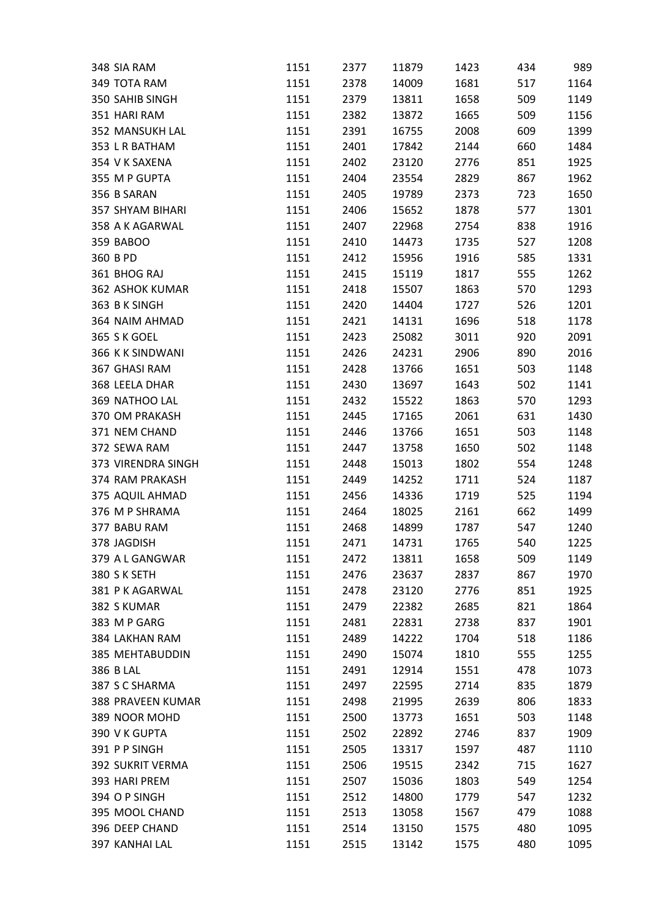| 348 SIA RAM                    | 1151         | 2377 | 11879 | 1423 | 434 | 989  |
|--------------------------------|--------------|------|-------|------|-----|------|
| 349 TOTA RAM                   | 1151         | 2378 | 14009 | 1681 | 517 | 1164 |
| 350 SAHIB SINGH                | 1151         | 2379 | 13811 | 1658 | 509 | 1149 |
| 351 HARI RAM                   | 1151         | 2382 | 13872 | 1665 | 509 | 1156 |
| 352 MANSUKH LAL                | 1151         | 2391 | 16755 | 2008 | 609 | 1399 |
| 353 L R BATHAM                 | 1151         | 2401 | 17842 | 2144 | 660 | 1484 |
| 354 V K SAXENA                 | 1151         | 2402 | 23120 | 2776 | 851 | 1925 |
| 355 M P GUPTA                  | 1151         | 2404 | 23554 | 2829 | 867 | 1962 |
| 356 B SARAN                    | 1151         | 2405 | 19789 | 2373 | 723 | 1650 |
| <b>357 SHYAM BIHARI</b>        | 1151         | 2406 | 15652 | 1878 | 577 | 1301 |
| 358 A K AGARWAL                | 1151         | 2407 | 22968 | 2754 | 838 | 1916 |
| 359 BABOO                      | 1151         | 2410 | 14473 | 1735 | 527 | 1208 |
| 360 B PD                       | 1151         | 2412 | 15956 | 1916 | 585 | 1331 |
| 361 BHOG RAJ                   | 1151         | 2415 | 15119 | 1817 | 555 | 1262 |
| <b>362 ASHOK KUMAR</b>         | 1151         | 2418 | 15507 | 1863 | 570 | 1293 |
| 363 B K SINGH                  | 1151         | 2420 | 14404 | 1727 | 526 | 1201 |
| 364 NAIM AHMAD                 | 1151         | 2421 | 14131 | 1696 | 518 | 1178 |
| 365 S K GOEL                   | 1151         | 2423 | 25082 | 3011 | 920 | 2091 |
| 366 K K SINDWANI               | 1151         | 2426 | 24231 | 2906 | 890 | 2016 |
| 367 GHASI RAM                  | 1151         | 2428 | 13766 | 1651 | 503 | 1148 |
| 368 LEELA DHAR                 | 1151         | 2430 | 13697 | 1643 | 502 | 1141 |
| 369 NATHOO LAL                 | 1151         | 2432 | 15522 | 1863 | 570 | 1293 |
| 370 OM PRAKASH                 | 1151         | 2445 | 17165 | 2061 | 631 | 1430 |
| 371 NEM CHAND                  | 1151         | 2446 | 13766 | 1651 | 503 | 1148 |
| 372 SEWA RAM                   | 1151         | 2447 | 13758 | 1650 | 502 | 1148 |
| 373 VIRENDRA SINGH             | 1151         | 2448 | 15013 | 1802 | 554 | 1248 |
| 374 RAM PRAKASH                | 1151         | 2449 | 14252 | 1711 | 524 | 1187 |
| 375 AQUIL AHMAD                | 1151         | 2456 | 14336 | 1719 | 525 | 1194 |
| 376 M P SHRAMA                 | 1151         | 2464 | 18025 | 2161 | 662 | 1499 |
| 377 BABU RAM                   | 1151         | 2468 | 14899 | 1787 | 547 | 1240 |
| 378 JAGDISH                    | 1151         | 2471 | 14731 | 1765 | 540 | 1225 |
|                                |              |      |       | 1658 |     |      |
| 379 A L GANGWAR                | 1151<br>1151 | 2472 | 13811 |      | 509 | 1149 |
| 380 S K SETH<br>381 PK AGARWAL |              | 2476 | 23637 | 2837 | 867 | 1970 |
|                                | 1151         | 2478 | 23120 | 2776 | 851 | 1925 |
| 382 S KUMAR                    | 1151         | 2479 | 22382 | 2685 | 821 | 1864 |
| 383 M P GARG                   | 1151         | 2481 | 22831 | 2738 | 837 | 1901 |
| 384 LAKHAN RAM                 | 1151         | 2489 | 14222 | 1704 | 518 | 1186 |
| <b>385 MEHTABUDDIN</b>         | 1151         | 2490 | 15074 | 1810 | 555 | 1255 |
| 386 B LAL                      | 1151         | 2491 | 12914 | 1551 | 478 | 1073 |
| 387 S C SHARMA                 | 1151         | 2497 | 22595 | 2714 | 835 | 1879 |
| <b>388 PRAVEEN KUMAR</b>       | 1151         | 2498 | 21995 | 2639 | 806 | 1833 |
| 389 NOOR MOHD                  | 1151         | 2500 | 13773 | 1651 | 503 | 1148 |
| 390 V K GUPTA                  | 1151         | 2502 | 22892 | 2746 | 837 | 1909 |
| 391 PP SINGH                   | 1151         | 2505 | 13317 | 1597 | 487 | 1110 |
| <b>392 SUKRIT VERMA</b>        | 1151         | 2506 | 19515 | 2342 | 715 | 1627 |
| 393 HARI PREM                  | 1151         | 2507 | 15036 | 1803 | 549 | 1254 |
| 394 O P SINGH                  | 1151         | 2512 | 14800 | 1779 | 547 | 1232 |
| 395 MOOL CHAND                 | 1151         | 2513 | 13058 | 1567 | 479 | 1088 |
| 396 DEEP CHAND                 | 1151         | 2514 | 13150 | 1575 | 480 | 1095 |
| 397 KANHAI LAL                 | 1151         | 2515 | 13142 | 1575 | 480 | 1095 |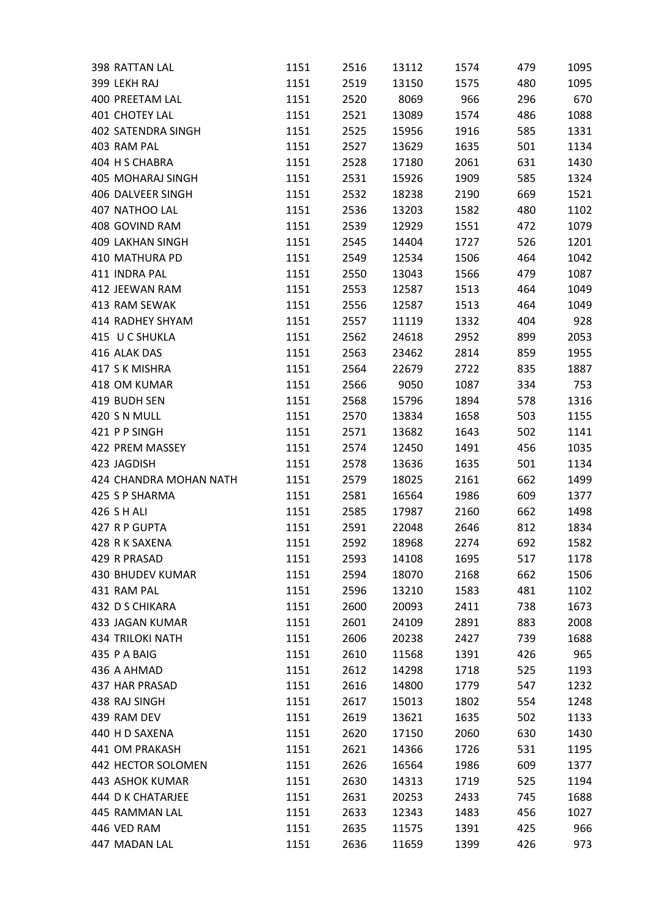| 398 RATTAN LAL            | 1151 | 2516 | 13112 | 1574 | 479 | 1095 |
|---------------------------|------|------|-------|------|-----|------|
| 399 LEKH RAJ              | 1151 | 2519 | 13150 | 1575 | 480 | 1095 |
| 400 PREETAM LAL           | 1151 | 2520 | 8069  | 966  | 296 | 670  |
| 401 CHOTEY LAL            | 1151 | 2521 | 13089 | 1574 | 486 | 1088 |
| <b>402 SATENDRA SINGH</b> | 1151 | 2525 | 15956 | 1916 | 585 | 1331 |
| 403 RAM PAL               | 1151 | 2527 | 13629 | 1635 | 501 | 1134 |
| 404 H S CHABRA            | 1151 | 2528 | 17180 | 2061 | 631 | 1430 |
| 405 MOHARAJ SINGH         | 1151 | 2531 | 15926 | 1909 | 585 | 1324 |
| 406 DALVEER SINGH         | 1151 | 2532 | 18238 | 2190 | 669 | 1521 |
| 407 NATHOO LAL            | 1151 | 2536 | 13203 | 1582 | 480 | 1102 |
| 408 GOVIND RAM            | 1151 | 2539 | 12929 | 1551 | 472 | 1079 |
| <b>409 LAKHAN SINGH</b>   | 1151 | 2545 | 14404 | 1727 | 526 | 1201 |
| 410 MATHURA PD            | 1151 | 2549 | 12534 | 1506 | 464 | 1042 |
| 411 INDRA PAL             | 1151 | 2550 | 13043 | 1566 | 479 | 1087 |
| 412 JEEWAN RAM            | 1151 | 2553 | 12587 | 1513 | 464 | 1049 |
| 413 RAM SEWAK             | 1151 | 2556 | 12587 | 1513 | 464 | 1049 |
| 414 RADHEY SHYAM          | 1151 | 2557 | 11119 | 1332 | 404 | 928  |
| 415 U C SHUKLA            | 1151 | 2562 | 24618 | 2952 | 899 | 2053 |
| 416 ALAK DAS              | 1151 | 2563 | 23462 | 2814 | 859 | 1955 |
| 417 S K MISHRA            | 1151 | 2564 | 22679 | 2722 | 835 | 1887 |
| 418 OM KUMAR              | 1151 | 2566 | 9050  | 1087 | 334 | 753  |
| 419 BUDH SEN              | 1151 | 2568 | 15796 | 1894 | 578 | 1316 |
| 420 S N MULL              | 1151 | 2570 | 13834 | 1658 | 503 | 1155 |
| 421 P P SINGH             | 1151 | 2571 | 13682 | 1643 | 502 | 1141 |
| 422 PREM MASSEY           | 1151 | 2574 | 12450 | 1491 | 456 | 1035 |
| 423 JAGDISH               | 1151 | 2578 | 13636 | 1635 | 501 | 1134 |
| 424 CHANDRA MOHAN NATH    | 1151 | 2579 | 18025 | 2161 | 662 | 1499 |
| 425 S P SHARMA            | 1151 | 2581 | 16564 | 1986 | 609 | 1377 |
| 426 S H ALI               | 1151 | 2585 | 17987 | 2160 | 662 | 1498 |
| 427 R P GUPTA             | 1151 | 2591 | 22048 | 2646 | 812 | 1834 |
| 428 R K SAXENA            | 1151 | 2592 | 18968 | 2274 | 692 | 1582 |
| 429 R PRASAD              | 1151 | 2593 | 14108 | 1695 | 517 | 1178 |
| <b>430 BHUDEV KUMAR</b>   | 1151 | 2594 | 18070 | 2168 | 662 | 1506 |
| 431 RAM PAL               | 1151 | 2596 | 13210 | 1583 | 481 | 1102 |
| 432 D S CHIKARA           | 1151 | 2600 | 20093 | 2411 | 738 | 1673 |
| <b>433 JAGAN KUMAR</b>    | 1151 | 2601 | 24109 | 2891 | 883 | 2008 |
| <b>434 TRILOKI NATH</b>   | 1151 | 2606 | 20238 | 2427 | 739 | 1688 |
| 435 P A BAIG              | 1151 | 2610 | 11568 | 1391 | 426 | 965  |
| 436 A AHMAD               | 1151 | 2612 | 14298 | 1718 | 525 | 1193 |
| <b>437 HAR PRASAD</b>     | 1151 | 2616 | 14800 | 1779 | 547 | 1232 |
| 438 RAJ SINGH             | 1151 | 2617 | 15013 | 1802 | 554 | 1248 |
| 439 RAM DEV               | 1151 | 2619 | 13621 | 1635 | 502 | 1133 |
| 440 H D SAXENA            | 1151 | 2620 | 17150 | 2060 | 630 | 1430 |
| 441 OM PRAKASH            | 1151 | 2621 | 14366 | 1726 | 531 | 1195 |
| 442 HECTOR SOLOMEN        | 1151 | 2626 | 16564 | 1986 | 609 | 1377 |
|                           |      |      |       |      |     |      |
| 443 ASHOK KUMAR           | 1151 | 2630 | 14313 | 1719 | 525 | 1194 |
| 444 D K CHATARJEE         | 1151 | 2631 | 20253 | 2433 | 745 | 1688 |
| 445 RAMMAN LAL            | 1151 | 2633 | 12343 | 1483 | 456 | 1027 |
| 446 VED RAM               | 1151 | 2635 | 11575 | 1391 | 425 | 966  |
| 447 MADAN LAL             | 1151 | 2636 | 11659 | 1399 | 426 | 973  |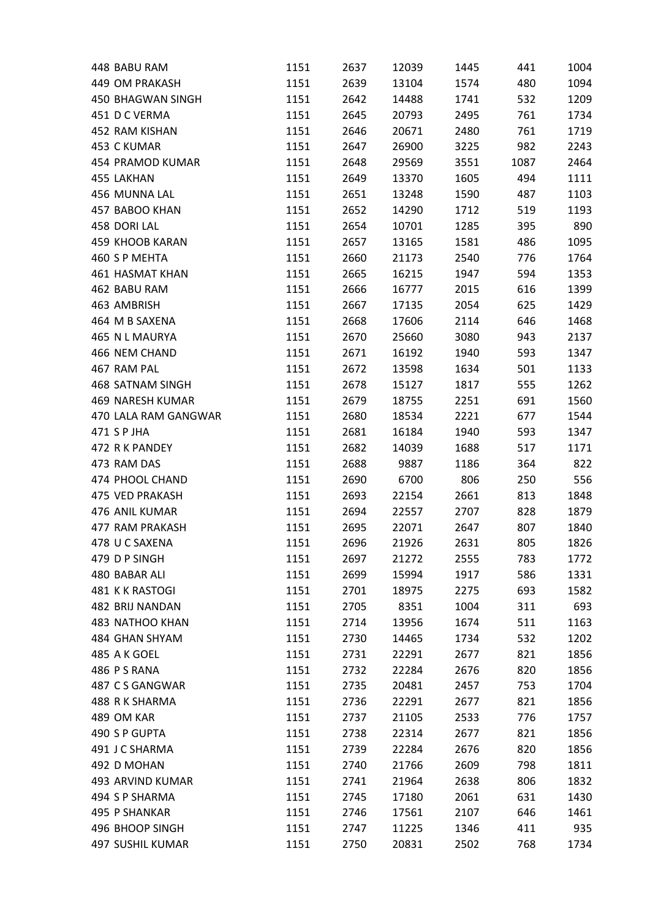| 448 BABU RAM           | 1151 | 2637 | 12039 | 1445 | 441  | 1004 |
|------------------------|------|------|-------|------|------|------|
| 449 OM PRAKASH         | 1151 | 2639 | 13104 | 1574 | 480  | 1094 |
| 450 BHAGWAN SINGH      | 1151 | 2642 | 14488 | 1741 | 532  | 1209 |
| 451 D C VERMA          | 1151 | 2645 | 20793 | 2495 | 761  | 1734 |
| 452 RAM KISHAN         | 1151 | 2646 | 20671 | 2480 | 761  | 1719 |
| 453 C KUMAR            | 1151 | 2647 | 26900 | 3225 | 982  | 2243 |
| 454 PRAMOD KUMAR       | 1151 | 2648 | 29569 | 3551 | 1087 | 2464 |
| 455 LAKHAN             | 1151 | 2649 | 13370 | 1605 | 494  | 1111 |
| 456 MUNNA LAL          | 1151 | 2651 | 13248 | 1590 | 487  | 1103 |
| 457 BABOO KHAN         | 1151 | 2652 | 14290 | 1712 | 519  | 1193 |
| 458 DORI LAL           | 1151 | 2654 | 10701 | 1285 | 395  | 890  |
| 459 KHOOB KARAN        | 1151 | 2657 | 13165 | 1581 | 486  | 1095 |
| 460 S P MEHTA          | 1151 | 2660 | 21173 | 2540 | 776  | 1764 |
| <b>461 HASMAT KHAN</b> | 1151 | 2665 | 16215 | 1947 | 594  | 1353 |
| 462 BABU RAM           | 1151 | 2666 | 16777 | 2015 | 616  | 1399 |
| 463 AMBRISH            | 1151 | 2667 | 17135 | 2054 | 625  | 1429 |
| 464 M B SAXENA         | 1151 | 2668 | 17606 | 2114 | 646  | 1468 |
| 465 N L MAURYA         | 1151 | 2670 | 25660 | 3080 | 943  | 2137 |
| 466 NEM CHAND          | 1151 | 2671 | 16192 | 1940 | 593  | 1347 |
| 467 RAM PAL            | 1151 | 2672 | 13598 | 1634 | 501  | 1133 |
| 468 SATNAM SINGH       | 1151 | 2678 | 15127 | 1817 | 555  | 1262 |
| 469 NARESH KUMAR       | 1151 | 2679 | 18755 | 2251 | 691  | 1560 |
| 470 LALA RAM GANGWAR   | 1151 | 2680 | 18534 | 2221 | 677  | 1544 |
| 471 S P JHA            | 1151 | 2681 | 16184 | 1940 | 593  | 1347 |
| 472 R K PANDEY         |      |      |       |      |      |      |
|                        | 1151 | 2682 | 14039 | 1688 | 517  | 1171 |
| 473 RAM DAS            | 1151 | 2688 | 9887  | 1186 | 364  | 822  |
| 474 PHOOL CHAND        | 1151 | 2690 | 6700  | 806  | 250  | 556  |
| <b>475 VED PRAKASH</b> | 1151 | 2693 | 22154 | 2661 | 813  | 1848 |
| 476 ANIL KUMAR         | 1151 | 2694 | 22557 | 2707 | 828  | 1879 |
| 477 RAM PRAKASH        | 1151 | 2695 | 22071 | 2647 | 807  | 1840 |
| 478 U C SAXENA         | 1151 | 2696 | 21926 | 2631 | 805  | 1826 |
| 479 D P SINGH          | 1151 | 2697 | 21272 | 2555 | 783  | 1772 |
| 480 BABAR ALI          | 1151 | 2699 | 15994 | 1917 | 586  | 1331 |
| 481 K K RASTOGI        | 1151 | 2701 | 18975 | 2275 | 693  | 1582 |
| 482 BRIJ NANDAN        | 1151 | 2705 | 8351  | 1004 | 311  | 693  |
| <b>483 NATHOO KHAN</b> | 1151 | 2714 | 13956 | 1674 | 511  | 1163 |
| 484 GHAN SHYAM         | 1151 | 2730 | 14465 | 1734 | 532  | 1202 |
| 485 A K GOEL           | 1151 | 2731 | 22291 | 2677 | 821  | 1856 |
| 486 PS RANA            | 1151 | 2732 | 22284 | 2676 | 820  | 1856 |
| 487 CS GANGWAR         | 1151 | 2735 | 20481 | 2457 | 753  | 1704 |
| 488 R K SHARMA         | 1151 | 2736 | 22291 | 2677 | 821  | 1856 |
| 489 OM KAR             | 1151 | 2737 | 21105 | 2533 | 776  | 1757 |
| 490 S P GUPTA          | 1151 | 2738 | 22314 | 2677 | 821  | 1856 |
| 491 J C SHARMA         | 1151 | 2739 | 22284 | 2676 | 820  | 1856 |
| 492 D MOHAN            | 1151 | 2740 | 21766 | 2609 | 798  | 1811 |
| 493 ARVIND KUMAR       | 1151 | 2741 | 21964 | 2638 | 806  | 1832 |
| 494 S P SHARMA         | 1151 | 2745 | 17180 | 2061 | 631  | 1430 |
| 495 P SHANKAR          | 1151 | 2746 | 17561 | 2107 | 646  | 1461 |
| 496 BHOOP SINGH        | 1151 | 2747 | 11225 | 1346 | 411  | 935  |
| 497 SUSHIL KUMAR       | 1151 | 2750 | 20831 | 2502 | 768  | 1734 |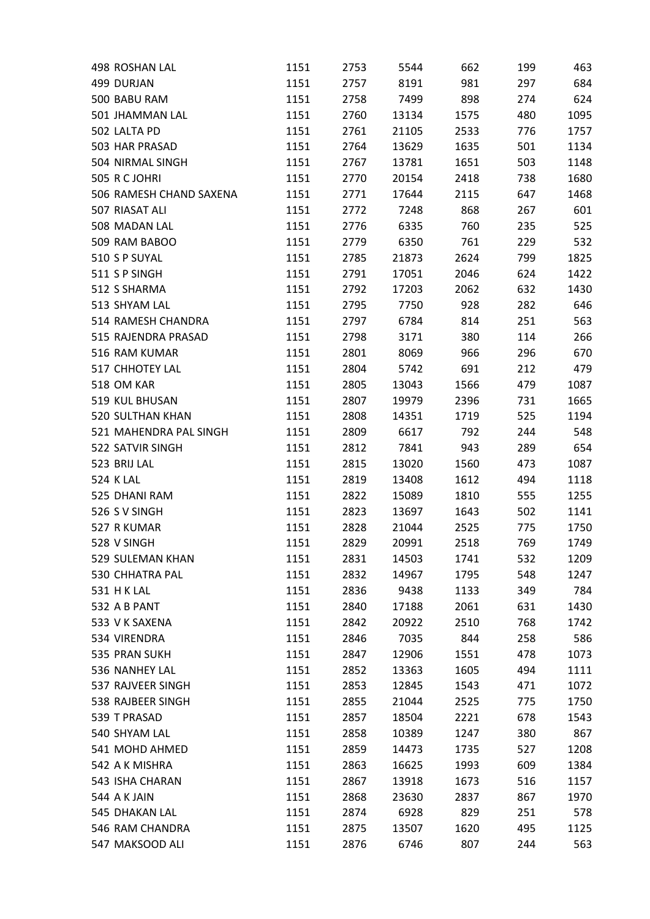| 498 ROSHAN LAL                | 1151 | 2753 | 5544  | 662  | 199 | 463  |
|-------------------------------|------|------|-------|------|-----|------|
| 499 DURJAN                    | 1151 | 2757 | 8191  | 981  | 297 | 684  |
| 500 BABU RAM                  | 1151 | 2758 | 7499  | 898  | 274 | 624  |
| 501 JHAMMAN LAL               | 1151 | 2760 | 13134 | 1575 | 480 | 1095 |
| 502 LALTA PD                  | 1151 | 2761 | 21105 | 2533 | 776 | 1757 |
| 503 HAR PRASAD                | 1151 | 2764 | 13629 | 1635 | 501 | 1134 |
| 504 NIRMAL SINGH              | 1151 | 2767 | 13781 | 1651 | 503 | 1148 |
| 505 R C JOHRI                 | 1151 | 2770 | 20154 | 2418 | 738 | 1680 |
| 506 RAMESH CHAND SAXENA       | 1151 | 2771 | 17644 | 2115 | 647 | 1468 |
| 507 RIASAT ALI                | 1151 | 2772 | 7248  | 868  | 267 | 601  |
| 508 MADAN LAL                 | 1151 | 2776 | 6335  | 760  | 235 | 525  |
| 509 RAM BABOO                 | 1151 | 2779 | 6350  | 761  | 229 | 532  |
| 510 S P SUYAL                 | 1151 | 2785 | 21873 | 2624 | 799 | 1825 |
| 511 S P SINGH                 | 1151 | 2791 | 17051 | 2046 | 624 | 1422 |
| 512 S SHARMA                  | 1151 | 2792 | 17203 | 2062 | 632 | 1430 |
| 513 SHYAM LAL                 | 1151 | 2795 | 7750  | 928  | 282 | 646  |
| 514 RAMESH CHANDRA            | 1151 | 2797 | 6784  | 814  | 251 | 563  |
| 515 RAJENDRA PRASAD           | 1151 | 2798 | 3171  | 380  | 114 | 266  |
| 516 RAM KUMAR                 | 1151 | 2801 | 8069  | 966  | 296 | 670  |
| <b>517 CHHOTEY LAL</b>        | 1151 | 2804 | 5742  | 691  | 212 | 479  |
| 518 OM KAR                    | 1151 | 2805 | 13043 | 1566 | 479 | 1087 |
| 519 KUL BHUSAN                | 1151 | 2807 | 19979 | 2396 | 731 | 1665 |
| <b>520 SULTHAN KHAN</b>       | 1151 | 2808 | 14351 | 1719 | 525 | 1194 |
| 521 MAHENDRA PAL SINGH        | 1151 | 2809 | 6617  | 792  | 244 | 548  |
| 522 SATVIR SINGH              | 1151 | 2812 | 7841  | 943  | 289 | 654  |
| 523 BRIJ LAL                  | 1151 | 2815 | 13020 | 1560 | 473 | 1087 |
| <b>524 K LAL</b>              | 1151 | 2819 | 13408 | 1612 | 494 | 1118 |
| 525 DHANI RAM                 | 1151 | 2822 | 15089 | 1810 | 555 | 1255 |
| 526 S V SINGH                 | 1151 | 2823 | 13697 | 1643 | 502 | 1141 |
| 527 R KUMAR                   | 1151 | 2828 | 21044 | 2525 | 775 | 1750 |
| 528 V SINGH                   | 1151 | 2829 | 20991 | 2518 | 769 | 1749 |
| 529 SULEMAN KHAN              | 1151 | 2831 | 14503 | 1741 | 532 | 1209 |
| 530 CHHATRA PAL               | 1151 | 2832 | 14967 | 1795 | 548 | 1247 |
| <b>531 H K LAL</b>            | 1151 | 2836 | 9438  | 1133 | 349 | 784  |
| 532 A B PANT                  | 1151 | 2840 | 17188 | 2061 | 631 | 1430 |
| 533 V K SAXENA                | 1151 | 2842 | 20922 | 2510 | 768 | 1742 |
| 534 VIRENDRA                  | 1151 | 2846 | 7035  | 844  | 258 | 586  |
| 535 PRAN SUKH                 | 1151 | 2847 | 12906 | 1551 | 478 | 1073 |
| 536 NANHEY LAL                | 1151 | 2852 | 13363 | 1605 | 494 | 1111 |
| 537 RAJVEER SINGH             | 1151 | 2853 | 12845 | 1543 | 471 | 1072 |
| 538 RAJBEER SINGH             | 1151 | 2855 | 21044 | 2525 | 775 | 1750 |
|                               |      |      |       |      |     |      |
| 539 T PRASAD<br>540 SHYAM LAL | 1151 | 2857 | 18504 | 2221 | 678 | 1543 |
|                               | 1151 | 2858 | 10389 | 1247 | 380 | 867  |
| 541 MOHD AHMED                | 1151 | 2859 | 14473 | 1735 | 527 | 1208 |
| 542 A K MISHRA                | 1151 | 2863 | 16625 | 1993 | 609 | 1384 |
| 543 ISHA CHARAN               | 1151 | 2867 | 13918 | 1673 | 516 | 1157 |
| 544 A K JAIN                  | 1151 | 2868 | 23630 | 2837 | 867 | 1970 |
| 545 DHAKAN LAL                | 1151 | 2874 | 6928  | 829  | 251 | 578  |
| 546 RAM CHANDRA               | 1151 | 2875 | 13507 | 1620 | 495 | 1125 |
| 547 MAKSOOD ALI               | 1151 | 2876 | 6746  | 807  | 244 | 563  |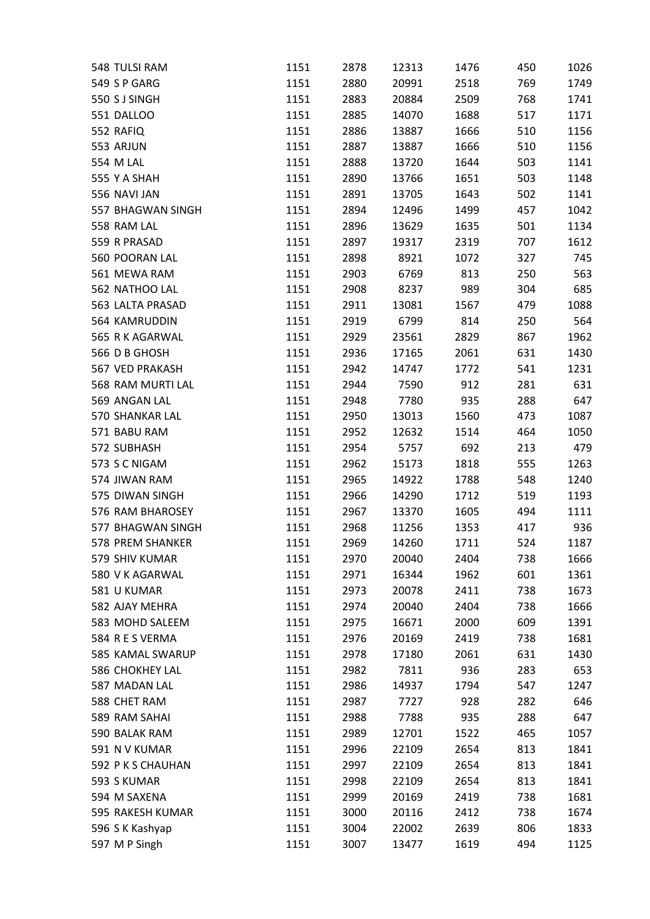| 548 TULSI RAM     | 1151         | 2878 | 12313          | 1476         | 450        | 1026        |
|-------------------|--------------|------|----------------|--------------|------------|-------------|
| 549 S P GARG      | 1151         | 2880 | 20991          | 2518         | 769        | 1749        |
| 550 S J SINGH     | 1151         | 2883 | 20884          | 2509         | 768        | 1741        |
| <b>551 DALLOO</b> | 1151         | 2885 | 14070          | 1688         | 517        | 1171        |
| 552 RAFIQ         | 1151         | 2886 | 13887          | 1666         | 510        | 1156        |
| 553 ARJUN         | 1151         | 2887 | 13887          | 1666         | 510        | 1156        |
| 554 M LAL         | 1151         | 2888 | 13720          | 1644         | 503        | 1141        |
| 555 Y A SHAH      | 1151         | 2890 | 13766          | 1651         | 503        | 1148        |
| 556 NAVI JAN      | 1151         | 2891 | 13705          | 1643         | 502        | 1141        |
| 557 BHAGWAN SINGH | 1151         | 2894 | 12496          | 1499         | 457        | 1042        |
| 558 RAM LAL       | 1151         | 2896 | 13629          | 1635         | 501        | 1134        |
| 559 R PRASAD      | 1151         | 2897 | 19317          | 2319         | 707        | 1612        |
| 560 POORAN LAL    | 1151         | 2898 | 8921           | 1072         | 327        | 745         |
| 561 MEWA RAM      | 1151         | 2903 | 6769           | 813          | 250        | 563         |
| 562 NATHOO LAL    | 1151         | 2908 | 8237           | 989          | 304        | 685         |
| 563 LALTA PRASAD  | 1151         | 2911 | 13081          | 1567         | 479        | 1088        |
| 564 KAMRUDDIN     | 1151         | 2919 | 6799           | 814          | 250        | 564         |
| 565 R K AGARWAL   | 1151         | 2929 | 23561          | 2829         | 867        | 1962        |
| 566 D B GHOSH     | 1151         | 2936 | 17165          | 2061         | 631        | 1430        |
| 567 VED PRAKASH   | 1151         | 2942 | 14747          | 1772         | 541        | 1231        |
| 568 RAM MURTI LAL | 1151         | 2944 | 7590           | 912          | 281        | 631         |
| 569 ANGAN LAL     | 1151         | 2948 | 7780           | 935          | 288        | 647         |
| 570 SHANKAR LAL   | 1151         | 2950 | 13013          | 1560         | 473        | 1087        |
| 571 BABU RAM      | 1151         | 2952 | 12632          | 1514         | 464        | 1050        |
| 572 SUBHASH       | 1151         | 2954 | 5757           | 692          | 213        | 479         |
| 573 S C NIGAM     | 1151         | 2962 | 15173          | 1818         | 555        | 1263        |
| 574 JIWAN RAM     | 1151         | 2965 | 14922          | 1788         | 548        | 1240        |
| 575 DIWAN SINGH   | 1151         | 2966 | 14290          | 1712         | 519        | 1193        |
| 576 RAM BHAROSEY  | 1151         | 2967 | 13370          | 1605         | 494        | 1111        |
| 577 BHAGWAN SINGH |              |      |                |              |            |             |
| 578 PREM SHANKER  | 1151<br>1151 | 2968 | 11256<br>14260 | 1353<br>1711 | 417<br>524 | 936<br>1187 |
|                   |              | 2969 |                |              |            |             |
| 579 SHIV KUMAR    | 1151         | 2970 | 20040          | 2404         | 738        | 1666        |
| 580 V K AGARWAL   | 1151         | 2971 | 16344          | 1962         | 601        | 1361        |
| 581 U KUMAR       | 1151         | 2973 | 20078          | 2411         | 738        | 1673        |
| 582 AJAY MEHRA    | 1151         | 2974 | 20040          | 2404         | 738        | 1666        |
| 583 MOHD SALEEM   | 1151         | 2975 | 16671          | 2000         | 609        | 1391        |
| 584 R E S VERMA   | 1151         | 2976 | 20169          | 2419         | 738        | 1681        |
| 585 KAMAL SWARUP  | 1151         | 2978 | 17180          | 2061         | 631        | 1430        |
| 586 CHOKHEY LAL   | 1151         | 2982 | 7811           | 936          | 283        | 653         |
| 587 MADAN LAL     | 1151         | 2986 | 14937          | 1794         | 547        | 1247        |
| 588 CHET RAM      | 1151         | 2987 | 7727           | 928          | 282        | 646         |
| 589 RAM SAHAI     | 1151         | 2988 | 7788           | 935          | 288        | 647         |
| 590 BALAK RAM     | 1151         | 2989 | 12701          | 1522         | 465        | 1057        |
| 591 N V KUMAR     | 1151         | 2996 | 22109          | 2654         | 813        | 1841        |
| 592 PKS CHAUHAN   | 1151         | 2997 | 22109          | 2654         | 813        | 1841        |
| 593 S KUMAR       | 1151         | 2998 | 22109          | 2654         | 813        | 1841        |
| 594 M SAXENA      | 1151         | 2999 | 20169          | 2419         | 738        | 1681        |
| 595 RAKESH KUMAR  | 1151         | 3000 | 20116          | 2412         | 738        | 1674        |
| 596 S K Kashyap   | 1151         | 3004 | 22002          | 2639         | 806        | 1833        |
| 597 M P Singh     | 1151         | 3007 | 13477          | 1619         | 494        | 1125        |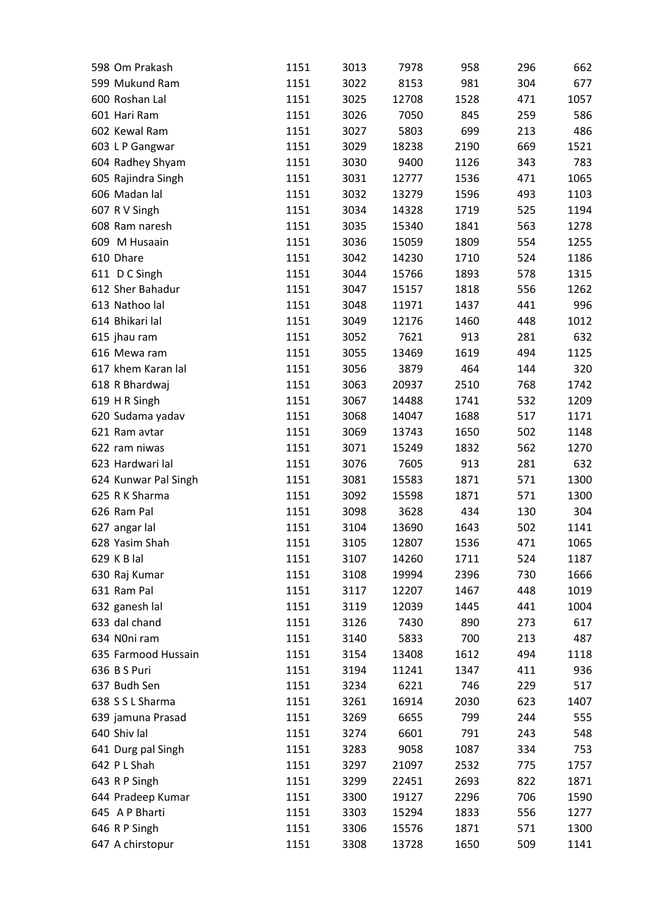| 598 Om Prakash       | 1151 | 3013 | 7978  | 958  | 296 | 662  |
|----------------------|------|------|-------|------|-----|------|
| 599 Mukund Ram       | 1151 | 3022 | 8153  | 981  | 304 | 677  |
| 600 Roshan Lal       | 1151 | 3025 | 12708 | 1528 | 471 | 1057 |
| 601 Hari Ram         | 1151 | 3026 | 7050  | 845  | 259 | 586  |
| 602 Kewal Ram        | 1151 | 3027 | 5803  | 699  | 213 | 486  |
| 603 L P Gangwar      | 1151 | 3029 | 18238 | 2190 | 669 | 1521 |
| 604 Radhey Shyam     | 1151 | 3030 | 9400  | 1126 | 343 | 783  |
| 605 Rajindra Singh   | 1151 | 3031 | 12777 | 1536 | 471 | 1065 |
| 606 Madan lal        | 1151 | 3032 | 13279 | 1596 | 493 | 1103 |
| 607 R V Singh        | 1151 | 3034 | 14328 | 1719 | 525 | 1194 |
| 608 Ram naresh       | 1151 | 3035 | 15340 | 1841 | 563 | 1278 |
| 609 M Husaain        | 1151 | 3036 | 15059 | 1809 | 554 | 1255 |
| 610 Dhare            | 1151 | 3042 | 14230 | 1710 | 524 | 1186 |
| 611 D C Singh        | 1151 | 3044 | 15766 | 1893 | 578 | 1315 |
| 612 Sher Bahadur     | 1151 | 3047 | 15157 | 1818 | 556 | 1262 |
| 613 Nathoo lal       | 1151 | 3048 | 11971 | 1437 | 441 | 996  |
| 614 Bhikari lal      | 1151 | 3049 | 12176 | 1460 | 448 | 1012 |
| 615 jhau ram         | 1151 | 3052 | 7621  | 913  | 281 | 632  |
| 616 Mewa ram         | 1151 | 3055 | 13469 | 1619 | 494 | 1125 |
| 617 khem Karan lal   | 1151 | 3056 | 3879  | 464  | 144 | 320  |
| 618 R Bhardwaj       | 1151 | 3063 | 20937 | 2510 | 768 | 1742 |
| 619 H R Singh        | 1151 | 3067 | 14488 | 1741 | 532 | 1209 |
| 620 Sudama yadav     | 1151 | 3068 | 14047 | 1688 | 517 | 1171 |
| 621 Ram avtar        | 1151 | 3069 | 13743 | 1650 | 502 | 1148 |
| 622 ram niwas        | 1151 | 3071 | 15249 | 1832 | 562 | 1270 |
| 623 Hardwari lal     | 1151 | 3076 | 7605  | 913  | 281 | 632  |
| 624 Kunwar Pal Singh | 1151 | 3081 | 15583 | 1871 | 571 | 1300 |
| 625 R K Sharma       | 1151 | 3092 | 15598 | 1871 | 571 | 1300 |
| 626 Ram Pal          | 1151 | 3098 | 3628  | 434  | 130 | 304  |
| 627 angar lal        | 1151 | 3104 | 13690 | 1643 | 502 | 1141 |
| 628 Yasim Shah       | 1151 | 3105 | 12807 | 1536 | 471 | 1065 |
| 629 K B lal          | 1151 | 3107 | 14260 | 1711 | 524 | 1187 |
| 630 Raj Kumar        | 1151 | 3108 | 19994 | 2396 | 730 | 1666 |
| 631 Ram Pal          | 1151 | 3117 | 12207 | 1467 | 448 | 1019 |
| 632 ganesh lal       | 1151 | 3119 | 12039 | 1445 | 441 | 1004 |
| 633 dal chand        | 1151 | 3126 | 7430  | 890  | 273 | 617  |
| 634 N0ni ram         | 1151 | 3140 | 5833  | 700  | 213 | 487  |
| 635 Farmood Hussain  |      | 3154 |       |      |     |      |
| 636 B S Puri         | 1151 |      | 13408 | 1612 | 494 | 1118 |
| 637 Budh Sen         | 1151 | 3194 | 11241 | 1347 | 411 | 936  |
|                      | 1151 | 3234 | 6221  | 746  | 229 | 517  |
| 638 S S L Sharma     | 1151 | 3261 | 16914 | 2030 | 623 | 1407 |
| 639 jamuna Prasad    | 1151 | 3269 | 6655  | 799  | 244 | 555  |
| 640 Shiv lal         | 1151 | 3274 | 6601  | 791  | 243 | 548  |
| 641 Durg pal Singh   | 1151 | 3283 | 9058  | 1087 | 334 | 753  |
| 642 PL Shah          | 1151 | 3297 | 21097 | 2532 | 775 | 1757 |
| 643 R P Singh        | 1151 | 3299 | 22451 | 2693 | 822 | 1871 |
| 644 Pradeep Kumar    | 1151 | 3300 | 19127 | 2296 | 706 | 1590 |
| 645 A P Bharti       | 1151 | 3303 | 15294 | 1833 | 556 | 1277 |
| 646 R P Singh        | 1151 | 3306 | 15576 | 1871 | 571 | 1300 |
| 647 A chirstopur     | 1151 | 3308 | 13728 | 1650 | 509 | 1141 |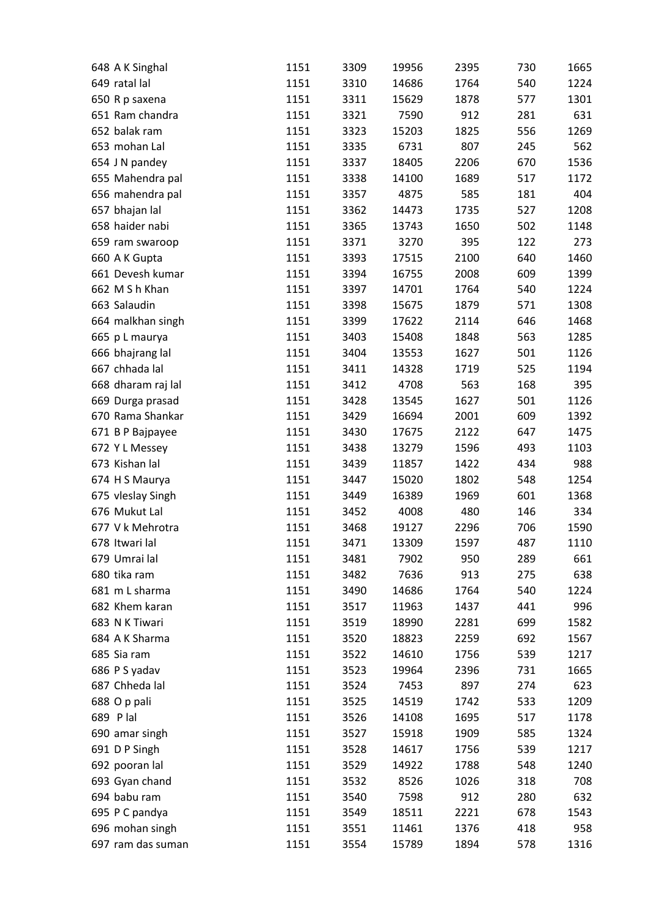| 648 A K Singhal                      | 1151 | 3309 | 19956 | 2395 | 730 | 1665 |
|--------------------------------------|------|------|-------|------|-----|------|
| 649 ratal lal                        | 1151 | 3310 | 14686 | 1764 | 540 | 1224 |
| 650 R p saxena                       | 1151 | 3311 | 15629 | 1878 | 577 | 1301 |
| 651 Ram chandra                      | 1151 | 3321 | 7590  | 912  | 281 | 631  |
| 652 balak ram                        | 1151 | 3323 | 15203 | 1825 | 556 | 1269 |
| 653 mohan Lal                        | 1151 | 3335 | 6731  | 807  | 245 | 562  |
| 654 J N pandey                       | 1151 | 3337 | 18405 | 2206 | 670 | 1536 |
| 655 Mahendra pal                     | 1151 | 3338 | 14100 | 1689 | 517 | 1172 |
| 656 mahendra pal                     | 1151 | 3357 | 4875  | 585  | 181 | 404  |
| 657 bhajan lal                       | 1151 | 3362 | 14473 | 1735 | 527 | 1208 |
| 658 haider nabi                      | 1151 | 3365 | 13743 | 1650 | 502 | 1148 |
| 659 ram swaroop                      | 1151 | 3371 | 3270  | 395  | 122 | 273  |
| 660 A K Gupta                        | 1151 | 3393 | 17515 | 2100 | 640 | 1460 |
| 661 Devesh kumar                     | 1151 | 3394 | 16755 | 2008 | 609 | 1399 |
| 662 M S h Khan                       | 1151 | 3397 | 14701 | 1764 | 540 | 1224 |
| 663 Salaudin                         | 1151 | 3398 | 15675 | 1879 | 571 | 1308 |
| 664 malkhan singh                    | 1151 | 3399 | 17622 | 2114 | 646 | 1468 |
| 665 p L maurya                       | 1151 | 3403 | 15408 | 1848 | 563 | 1285 |
| 666 bhajrang lal                     | 1151 | 3404 | 13553 | 1627 | 501 | 1126 |
| 667 chhada lal                       | 1151 | 3411 | 14328 | 1719 | 525 | 1194 |
| 668 dharam raj lal                   | 1151 | 3412 | 4708  | 563  | 168 | 395  |
|                                      | 1151 | 3428 | 13545 | 1627 | 501 | 1126 |
| 669 Durga prasad<br>670 Rama Shankar | 1151 | 3429 |       | 2001 | 609 | 1392 |
|                                      |      |      | 16694 |      |     |      |
| 671 B P Bajpayee                     | 1151 | 3430 | 17675 | 2122 | 647 | 1475 |
| 672 Y L Messey                       | 1151 | 3438 | 13279 | 1596 | 493 | 1103 |
| 673 Kishan lal                       | 1151 | 3439 | 11857 | 1422 | 434 | 988  |
| 674 H S Maurya                       | 1151 | 3447 | 15020 | 1802 | 548 | 1254 |
| 675 vleslay Singh                    | 1151 | 3449 | 16389 | 1969 | 601 | 1368 |
| 676 Mukut Lal                        | 1151 | 3452 | 4008  | 480  | 146 | 334  |
| 677 V k Mehrotra                     | 1151 | 3468 | 19127 | 2296 | 706 | 1590 |
| 678 Itwari lal                       | 1151 | 3471 | 13309 | 1597 | 487 | 1110 |
| 679 Umrai lal                        | 1151 | 3481 | 7902  | 950  | 289 | 661  |
| 680 tika ram                         | 1151 | 3482 | 7636  | 913  | 275 | 638  |
| 681 m L sharma                       | 1151 | 3490 | 14686 | 1764 | 540 | 1224 |
| 682 Khem karan                       | 1151 | 3517 | 11963 | 1437 | 441 | 996  |
| 683 N K Tiwari                       | 1151 | 3519 | 18990 | 2281 | 699 | 1582 |
| 684 A K Sharma                       | 1151 | 3520 | 18823 | 2259 | 692 | 1567 |
| 685 Sia ram                          | 1151 | 3522 | 14610 | 1756 | 539 | 1217 |
| 686 P S yadav                        | 1151 | 3523 | 19964 | 2396 | 731 | 1665 |
| 687 Chheda lal                       | 1151 | 3524 | 7453  | 897  | 274 | 623  |
| 688 O p pali                         | 1151 | 3525 | 14519 | 1742 | 533 | 1209 |
| 689 Plal                             | 1151 | 3526 | 14108 | 1695 | 517 | 1178 |
| 690 amar singh                       | 1151 | 3527 | 15918 | 1909 | 585 | 1324 |
| 691 D P Singh                        | 1151 | 3528 | 14617 | 1756 | 539 | 1217 |
| 692 pooran lal                       | 1151 | 3529 | 14922 | 1788 | 548 | 1240 |
| 693 Gyan chand                       | 1151 | 3532 | 8526  | 1026 | 318 | 708  |
| 694 babu ram                         | 1151 | 3540 | 7598  | 912  | 280 | 632  |
| 695 P C pandya                       | 1151 | 3549 | 18511 | 2221 | 678 | 1543 |
| 696 mohan singh                      | 1151 | 3551 | 11461 | 1376 | 418 | 958  |
| 697 ram das suman                    | 1151 | 3554 | 15789 | 1894 | 578 | 1316 |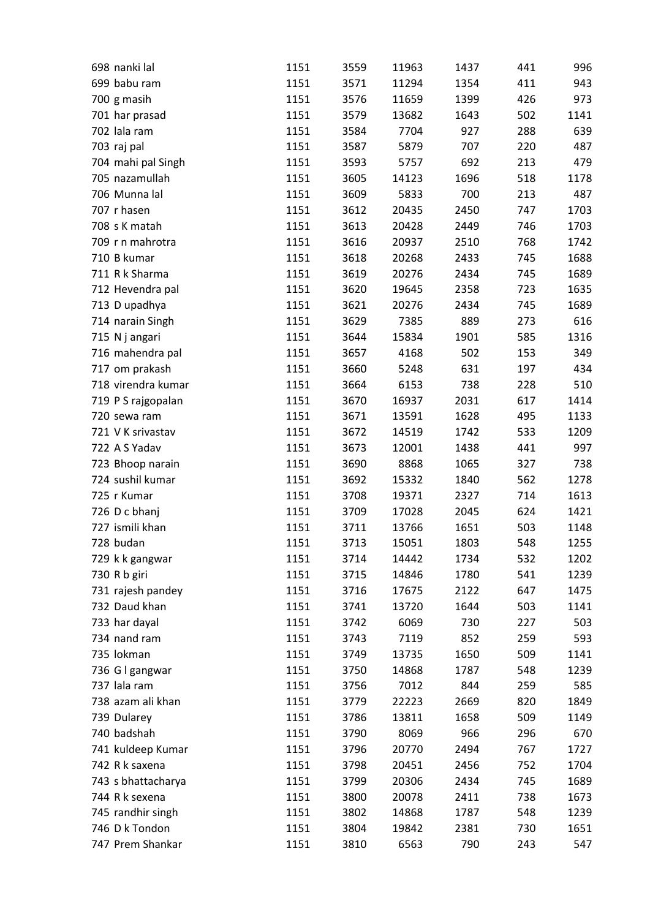| 698 nanki lal      | 1151 | 3559 | 11963 | 1437 | 441 | 996  |
|--------------------|------|------|-------|------|-----|------|
| 699 babu ram       | 1151 | 3571 | 11294 | 1354 | 411 | 943  |
| 700 g masih        | 1151 | 3576 | 11659 | 1399 | 426 | 973  |
| 701 har prasad     | 1151 | 3579 | 13682 | 1643 | 502 | 1141 |
| 702 lala ram       | 1151 | 3584 | 7704  | 927  | 288 | 639  |
| 703 raj pal        | 1151 | 3587 | 5879  | 707  | 220 | 487  |
| 704 mahi pal Singh | 1151 | 3593 | 5757  | 692  | 213 | 479  |
| 705 nazamullah     | 1151 | 3605 | 14123 | 1696 | 518 | 1178 |
| 706 Munna lal      | 1151 | 3609 | 5833  | 700  | 213 | 487  |
| 707 r hasen        | 1151 | 3612 | 20435 | 2450 | 747 | 1703 |
| 708 s K matah      | 1151 | 3613 | 20428 | 2449 | 746 | 1703 |
| 709 r n mahrotra   | 1151 | 3616 | 20937 | 2510 | 768 | 1742 |
| 710 B kumar        | 1151 | 3618 | 20268 | 2433 | 745 | 1688 |
| 711 R k Sharma     | 1151 | 3619 | 20276 | 2434 | 745 | 1689 |
| 712 Hevendra pal   | 1151 | 3620 | 19645 | 2358 | 723 | 1635 |
| 713 D upadhya      | 1151 | 3621 | 20276 | 2434 | 745 | 1689 |
| 714 narain Singh   | 1151 | 3629 | 7385  | 889  | 273 | 616  |
| 715 N j angari     | 1151 | 3644 | 15834 | 1901 | 585 | 1316 |
| 716 mahendra pal   | 1151 | 3657 | 4168  | 502  | 153 | 349  |
| 717 om prakash     | 1151 | 3660 | 5248  | 631  | 197 | 434  |
| 718 virendra kumar | 1151 | 3664 | 6153  | 738  | 228 | 510  |
| 719 P S rajgopalan | 1151 | 3670 | 16937 | 2031 | 617 | 1414 |
| 720 sewa ram       | 1151 | 3671 | 13591 | 1628 | 495 | 1133 |
| 721 V K srivastav  | 1151 | 3672 | 14519 | 1742 | 533 | 1209 |
| 722 A S Yadav      | 1151 | 3673 | 12001 | 1438 | 441 | 997  |
| 723 Bhoop narain   | 1151 | 3690 | 8868  | 1065 | 327 | 738  |
| 724 sushil kumar   | 1151 | 3692 | 15332 | 1840 | 562 | 1278 |
| 725 r Kumar        | 1151 | 3708 | 19371 | 2327 | 714 | 1613 |
| 726 D c bhanj      | 1151 | 3709 | 17028 | 2045 | 624 | 1421 |
| 727 ismili khan    | 1151 | 3711 | 13766 | 1651 | 503 | 1148 |
| 728 budan          | 1151 | 3713 | 15051 | 1803 | 548 | 1255 |
| 729 k k gangwar    | 1151 | 3714 | 14442 | 1734 | 532 | 1202 |
| 730 R b giri       | 1151 | 3715 | 14846 | 1780 | 541 | 1239 |
| 731 rajesh pandey  | 1151 | 3716 | 17675 | 2122 | 647 | 1475 |
| 732 Daud khan      | 1151 | 3741 | 13720 | 1644 | 503 | 1141 |
| 733 har dayal      | 1151 | 3742 | 6069  | 730  | 227 | 503  |
| 734 nand ram       | 1151 | 3743 | 7119  | 852  | 259 | 593  |
| 735 lokman         | 1151 | 3749 | 13735 | 1650 | 509 | 1141 |
| 736 G I gangwar    | 1151 | 3750 | 14868 | 1787 | 548 | 1239 |
| 737 lala ram       | 1151 | 3756 | 7012  | 844  | 259 | 585  |
| 738 azam ali khan  | 1151 | 3779 | 22223 | 2669 | 820 | 1849 |
| 739 Dularey        | 1151 | 3786 | 13811 | 1658 | 509 | 1149 |
| 740 badshah        | 1151 | 3790 | 8069  | 966  | 296 | 670  |
| 741 kuldeep Kumar  | 1151 | 3796 | 20770 | 2494 | 767 | 1727 |
| 742 R k saxena     | 1151 | 3798 | 20451 | 2456 | 752 | 1704 |
| 743 s bhattacharya | 1151 | 3799 | 20306 | 2434 | 745 | 1689 |
| 744 R k sexena     | 1151 | 3800 | 20078 | 2411 | 738 | 1673 |
| 745 randhir singh  | 1151 | 3802 | 14868 | 1787 | 548 | 1239 |
| 746 D k Tondon     | 1151 | 3804 | 19842 | 2381 | 730 | 1651 |
| 747 Prem Shankar   | 1151 | 3810 | 6563  | 790  | 243 | 547  |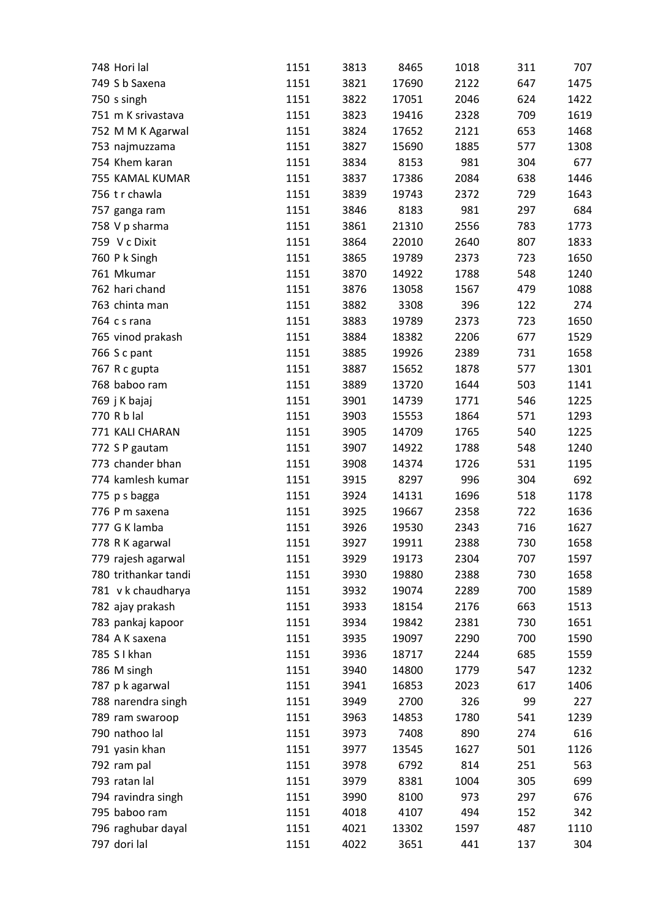| 748 Hori lal         | 1151 | 3813 | 8465  | 1018 | 311 | 707  |
|----------------------|------|------|-------|------|-----|------|
| 749 S b Saxena       | 1151 | 3821 | 17690 | 2122 | 647 | 1475 |
| 750 s singh          | 1151 | 3822 | 17051 | 2046 | 624 | 1422 |
| 751 m K srivastava   | 1151 | 3823 | 19416 | 2328 | 709 | 1619 |
| 752 M M K Agarwal    | 1151 | 3824 | 17652 | 2121 | 653 | 1468 |
| 753 najmuzzama       | 1151 | 3827 | 15690 | 1885 | 577 | 1308 |
| 754 Khem karan       | 1151 | 3834 | 8153  | 981  | 304 | 677  |
| 755 KAMAL KUMAR      | 1151 | 3837 | 17386 | 2084 | 638 | 1446 |
| 756 tr chawla        | 1151 | 3839 | 19743 | 2372 | 729 | 1643 |
| 757 ganga ram        | 1151 | 3846 | 8183  | 981  | 297 | 684  |
| 758 V p sharma       | 1151 | 3861 | 21310 | 2556 | 783 | 1773 |
| 759 V c Dixit        | 1151 | 3864 | 22010 | 2640 | 807 | 1833 |
| 760 P k Singh        | 1151 | 3865 | 19789 | 2373 | 723 | 1650 |
| 761 Mkumar           | 1151 | 3870 | 14922 | 1788 | 548 | 1240 |
| 762 hari chand       | 1151 | 3876 | 13058 | 1567 | 479 | 1088 |
| 763 chinta man       | 1151 | 3882 | 3308  | 396  | 122 | 274  |
| 764 c s rana         | 1151 | 3883 | 19789 | 2373 | 723 | 1650 |
| 765 vinod prakash    | 1151 | 3884 | 18382 | 2206 | 677 | 1529 |
| 766 S c pant         | 1151 | 3885 | 19926 | 2389 | 731 | 1658 |
| 767 R c gupta        | 1151 | 3887 | 15652 | 1878 | 577 | 1301 |
| 768 baboo ram        | 1151 | 3889 | 13720 | 1644 | 503 | 1141 |
| 769 j K bajaj        | 1151 | 3901 | 14739 | 1771 | 546 | 1225 |
| 770 R b lal          | 1151 | 3903 | 15553 | 1864 | 571 | 1293 |
| 771 KALI CHARAN      | 1151 | 3905 | 14709 | 1765 | 540 | 1225 |
| 772 S P gautam       | 1151 | 3907 | 14922 | 1788 | 548 | 1240 |
| 773 chander bhan     | 1151 | 3908 | 14374 | 1726 | 531 | 1195 |
| 774 kamlesh kumar    | 1151 | 3915 | 8297  | 996  | 304 | 692  |
| 775 p s bagga        | 1151 | 3924 | 14131 | 1696 | 518 | 1178 |
| 776 P m saxena       | 1151 | 3925 | 19667 | 2358 | 722 | 1636 |
| 777 G K lamba        | 1151 | 3926 | 19530 | 2343 | 716 | 1627 |
| 778 R K agarwal      | 1151 | 3927 | 19911 | 2388 | 730 | 1658 |
| 779 rajesh agarwal   | 1151 | 3929 | 19173 | 2304 | 707 | 1597 |
| 780 trithankar tandi | 1151 | 3930 | 19880 | 2388 | 730 | 1658 |
| 781 v k chaudharya   | 1151 | 3932 | 19074 | 2289 | 700 | 1589 |
| 782 ajay prakash     | 1151 | 3933 | 18154 | 2176 | 663 | 1513 |
| 783 pankaj kapoor    | 1151 | 3934 | 19842 | 2381 | 730 | 1651 |
| 784 A K saxena       | 1151 | 3935 | 19097 | 2290 | 700 | 1590 |
| 785 S I khan         | 1151 | 3936 | 18717 | 2244 | 685 | 1559 |
| 786 M singh          | 1151 | 3940 | 14800 | 1779 | 547 | 1232 |
| 787 p k agarwal      | 1151 | 3941 | 16853 | 2023 | 617 | 1406 |
| 788 narendra singh   | 1151 | 3949 | 2700  | 326  | 99  | 227  |
| 789 ram swaroop      | 1151 | 3963 | 14853 | 1780 | 541 | 1239 |
| 790 nathoo lal       | 1151 | 3973 | 7408  | 890  | 274 | 616  |
| 791 yasin khan       | 1151 | 3977 | 13545 | 1627 | 501 | 1126 |
| 792 ram pal          | 1151 | 3978 | 6792  | 814  | 251 | 563  |
| 793 ratan lal        | 1151 | 3979 | 8381  | 1004 | 305 | 699  |
| 794 ravindra singh   | 1151 | 3990 | 8100  | 973  | 297 | 676  |
| 795 baboo ram        | 1151 | 4018 | 4107  | 494  | 152 | 342  |
| 796 raghubar dayal   | 1151 | 4021 | 13302 | 1597 | 487 | 1110 |
| 797 dori lal         | 1151 | 4022 | 3651  | 441  | 137 | 304  |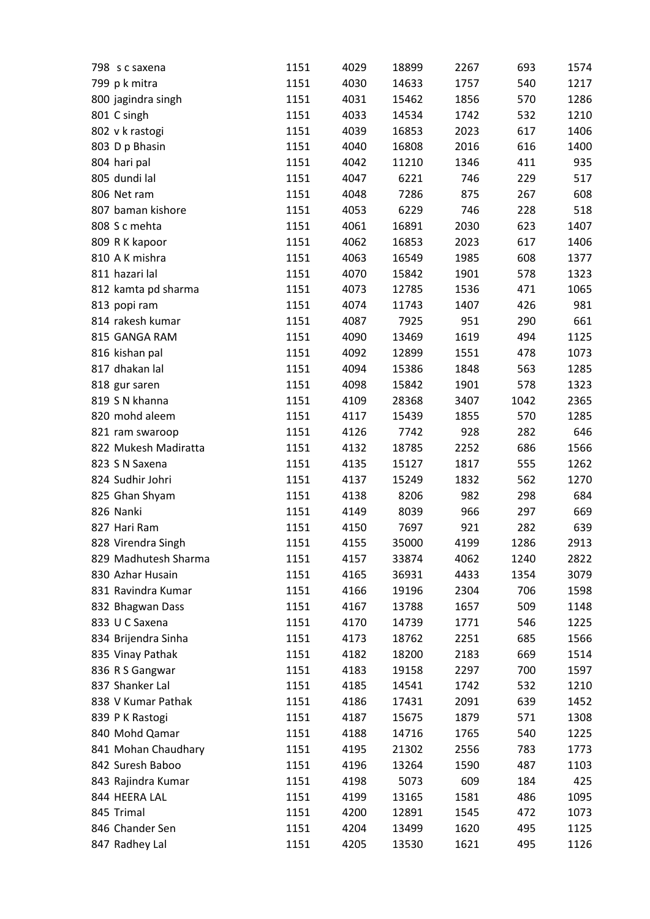| 798 s c saxena       | 1151 | 4029 | 18899 | 2267 | 693  | 1574 |
|----------------------|------|------|-------|------|------|------|
| 799 p k mitra        | 1151 | 4030 | 14633 | 1757 | 540  | 1217 |
| 800 jagindra singh   | 1151 | 4031 | 15462 | 1856 | 570  | 1286 |
| 801 C singh          | 1151 | 4033 | 14534 | 1742 | 532  | 1210 |
| 802 v k rastogi      | 1151 | 4039 | 16853 | 2023 | 617  | 1406 |
| 803 D p Bhasin       | 1151 | 4040 | 16808 | 2016 | 616  | 1400 |
| 804 hari pal         | 1151 | 4042 | 11210 | 1346 | 411  | 935  |
| 805 dundi lal        | 1151 | 4047 | 6221  | 746  | 229  | 517  |
| 806 Net ram          | 1151 | 4048 | 7286  | 875  | 267  | 608  |
| 807 baman kishore    | 1151 | 4053 | 6229  | 746  | 228  | 518  |
| 808 S c mehta        | 1151 | 4061 | 16891 | 2030 | 623  | 1407 |
| 809 RK kapoor        | 1151 | 4062 | 16853 | 2023 | 617  | 1406 |
| 810 A K mishra       | 1151 | 4063 | 16549 | 1985 | 608  | 1377 |
| 811 hazari lal       | 1151 | 4070 | 15842 | 1901 | 578  | 1323 |
| 812 kamta pd sharma  | 1151 | 4073 | 12785 | 1536 | 471  | 1065 |
| 813 popi ram         | 1151 | 4074 | 11743 | 1407 | 426  | 981  |
| 814 rakesh kumar     | 1151 | 4087 | 7925  | 951  | 290  | 661  |
| 815 GANGA RAM        | 1151 | 4090 | 13469 | 1619 | 494  | 1125 |
| 816 kishan pal       | 1151 | 4092 | 12899 | 1551 | 478  | 1073 |
| 817 dhakan lal       | 1151 | 4094 | 15386 | 1848 | 563  | 1285 |
| 818 gur saren        | 1151 | 4098 | 15842 | 1901 | 578  | 1323 |
| 819 S N khanna       | 1151 | 4109 | 28368 | 3407 | 1042 | 2365 |
| 820 mohd aleem       | 1151 | 4117 | 15439 | 1855 | 570  | 1285 |
| 821 ram swaroop      | 1151 | 4126 | 7742  | 928  | 282  | 646  |
| 822 Mukesh Madiratta | 1151 | 4132 | 18785 | 2252 | 686  | 1566 |
| 823 S N Saxena       | 1151 | 4135 | 15127 | 1817 | 555  | 1262 |
| 824 Sudhir Johri     | 1151 | 4137 | 15249 | 1832 | 562  | 1270 |
| 825 Ghan Shyam       | 1151 | 4138 | 8206  | 982  | 298  | 684  |
| 826 Nanki            | 1151 | 4149 | 8039  | 966  | 297  | 669  |
| 827 Hari Ram         | 1151 |      | 7697  | 921  | 282  | 639  |
| 828 Virendra Singh   | 1151 | 4150 |       |      |      | 2913 |
|                      |      | 4155 | 35000 | 4199 | 1286 |      |
| 829 Madhutesh Sharma | 1151 | 4157 | 33874 | 4062 | 1240 | 2822 |
| 830 Azhar Husain     | 1151 | 4165 | 36931 | 4433 | 1354 | 3079 |
| 831 Ravindra Kumar   | 1151 | 4166 | 19196 | 2304 | 706  | 1598 |
| 832 Bhagwan Dass     | 1151 | 4167 | 13788 | 1657 | 509  | 1148 |
| 833 U C Saxena       | 1151 | 4170 | 14739 | 1771 | 546  | 1225 |
| 834 Brijendra Sinha  | 1151 | 4173 | 18762 | 2251 | 685  | 1566 |
| 835 Vinay Pathak     | 1151 | 4182 | 18200 | 2183 | 669  | 1514 |
| 836 R S Gangwar      | 1151 | 4183 | 19158 | 2297 | 700  | 1597 |
| 837 Shanker Lal      | 1151 | 4185 | 14541 | 1742 | 532  | 1210 |
| 838 V Kumar Pathak   | 1151 | 4186 | 17431 | 2091 | 639  | 1452 |
| 839 PK Rastogi       | 1151 | 4187 | 15675 | 1879 | 571  | 1308 |
| 840 Mohd Qamar       | 1151 | 4188 | 14716 | 1765 | 540  | 1225 |
| 841 Mohan Chaudhary  | 1151 | 4195 | 21302 | 2556 | 783  | 1773 |
| 842 Suresh Baboo     | 1151 | 4196 | 13264 | 1590 | 487  | 1103 |
| 843 Rajindra Kumar   | 1151 | 4198 | 5073  | 609  | 184  | 425  |
| 844 HEERA LAL        | 1151 | 4199 | 13165 | 1581 | 486  | 1095 |
| 845 Trimal           | 1151 | 4200 | 12891 | 1545 | 472  | 1073 |
| 846 Chander Sen      | 1151 | 4204 | 13499 | 1620 | 495  | 1125 |
| 847 Radhey Lal       | 1151 | 4205 | 13530 | 1621 | 495  | 1126 |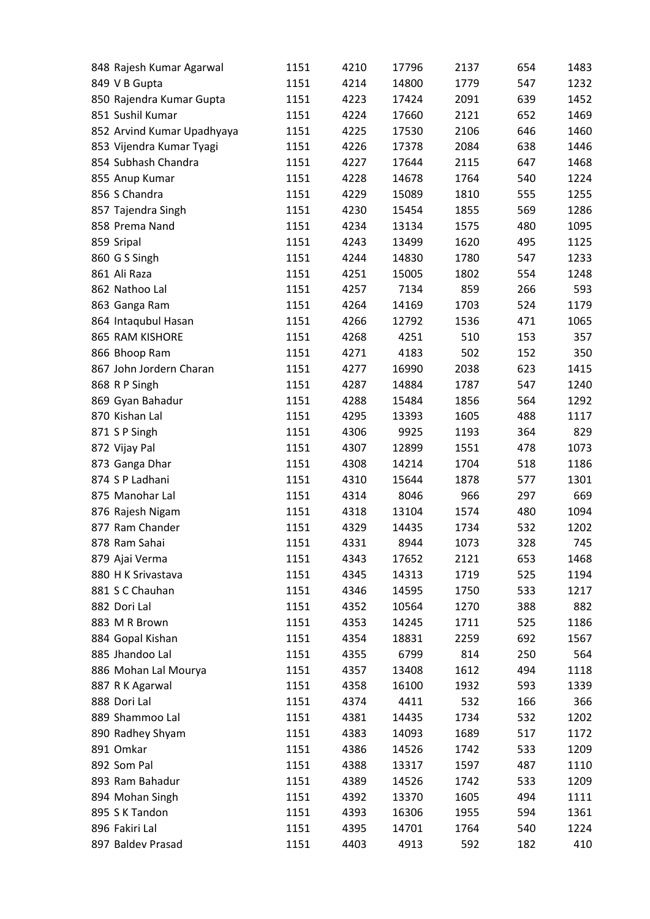| 848 Rajesh Kumar Agarwal            | 1151         | 4210         | 17796          | 2137         | 654        | 1483        |
|-------------------------------------|--------------|--------------|----------------|--------------|------------|-------------|
| 849 V B Gupta                       | 1151         | 4214         | 14800          | 1779         | 547        | 1232        |
| 850 Rajendra Kumar Gupta            | 1151         | 4223         | 17424          | 2091         | 639        | 1452        |
| 851 Sushil Kumar                    | 1151         | 4224         | 17660          | 2121         | 652        | 1469        |
| 852 Arvind Kumar Upadhyaya          | 1151         | 4225         | 17530          | 2106         | 646        | 1460        |
| 853 Vijendra Kumar Tyagi            | 1151         | 4226         | 17378          | 2084         | 638        | 1446        |
| 854 Subhash Chandra                 | 1151         | 4227         | 17644          | 2115         | 647        | 1468        |
| 855 Anup Kumar                      | 1151         | 4228         | 14678          | 1764         | 540        | 1224        |
| 856 S Chandra                       | 1151         | 4229         | 15089          | 1810         | 555        | 1255        |
| 857 Tajendra Singh                  | 1151         | 4230         | 15454          | 1855         | 569        | 1286        |
| 858 Prema Nand                      | 1151         | 4234         | 13134          | 1575         | 480        | 1095        |
| 859 Sripal                          | 1151         | 4243         | 13499          | 1620         | 495        | 1125        |
| 860 G S Singh                       | 1151         | 4244         | 14830          | 1780         | 547        | 1233        |
| 861 Ali Raza                        | 1151         | 4251         | 15005          | 1802         | 554        | 1248        |
| 862 Nathoo Lal                      | 1151         | 4257         | 7134           | 859          | 266        | 593         |
| 863 Ganga Ram                       | 1151         | 4264         | 14169          | 1703         | 524        | 1179        |
| 864 Intaqubul Hasan                 | 1151         | 4266         | 12792          | 1536         | 471        | 1065        |
| 865 RAM KISHORE                     | 1151         | 4268         | 4251           | 510          | 153        | 357         |
| 866 Bhoop Ram                       | 1151         | 4271         | 4183           | 502          | 152        | 350         |
| 867 John Jordern Charan             | 1151         | 4277         | 16990          | 2038         | 623        | 1415        |
| 868 R P Singh                       | 1151         | 4287         | 14884          | 1787         | 547        | 1240        |
| 869 Gyan Bahadur                    | 1151         | 4288         | 15484          | 1856         | 564        | 1292        |
| 870 Kishan Lal                      | 1151         | 4295         | 13393          | 1605         | 488        | 1117        |
| 871 S P Singh                       | 1151         | 4306         | 9925           | 1193         | 364        | 829         |
| 872 Vijay Pal                       | 1151         | 4307         | 12899          | 1551         | 478        | 1073        |
| 873 Ganga Dhar                      | 1151         | 4308         | 14214          | 1704         | 518        | 1186        |
| 874 S P Ladhani                     | 1151         | 4310         | 15644          | 1878         | 577        | 1301        |
| 875 Manohar Lal                     | 1151         | 4314         | 8046           | 966          | 297        | 669         |
| 876 Rajesh Nigam                    | 1151         | 4318         | 13104          | 1574         | 480        | 1094        |
| 877 Ram Chander                     | 1151         | 4329         | 14435          | 1734         | 532        | 1202        |
| 878 Ram Sahai                       | 1151         | 4331         | 8944           | 1073         | 328        | 745         |
| 879 Ajai Verma                      | 1151         | 4343         | 17652          | 2121         | 653        | 1468        |
| 880 H K Srivastava                  | 1151         | 4345         | 14313          | 1719         | 525        | 1194        |
| 881 S C Chauhan                     |              |              |                |              |            |             |
| 882 Dori Lal                        | 1151<br>1151 | 4346<br>4352 | 14595<br>10564 | 1750<br>1270 | 533<br>388 | 1217<br>882 |
|                                     |              |              |                |              |            |             |
| 883 M R Brown                       | 1151         | 4353         | 14245          | 1711         | 525<br>692 | 1186        |
| 884 Gopal Kishan<br>885 Jhandoo Lal | 1151         | 4354         | 18831          | 2259         |            | 1567        |
|                                     | 1151         | 4355         | 6799           | 814          | 250        | 564         |
| 886 Mohan Lal Mourya                | 1151         | 4357         | 13408          | 1612         | 494        | 1118        |
| 887 R K Agarwal                     | 1151         | 4358         | 16100          | 1932         | 593        | 1339        |
| 888 Dori Lal                        | 1151         | 4374         | 4411           | 532          | 166        | 366         |
| 889 Shammoo Lal                     | 1151         | 4381         | 14435          | 1734         | 532        | 1202        |
| 890 Radhey Shyam                    | 1151         | 4383         | 14093          | 1689         | 517        | 1172        |
| 891 Omkar                           | 1151         | 4386         | 14526          | 1742         | 533        | 1209        |
| 892 Som Pal                         | 1151         | 4388         | 13317          | 1597         | 487        | 1110        |
| 893 Ram Bahadur                     | 1151         | 4389         | 14526          | 1742         | 533        | 1209        |
| 894 Mohan Singh                     | 1151         | 4392         | 13370          | 1605         | 494        | 1111        |
| 895 S K Tandon                      | 1151         | 4393         | 16306          | 1955         | 594        | 1361        |
| 896 Fakiri Lal                      | 1151         | 4395         | 14701          | 1764         | 540        | 1224        |
| 897 Baldev Prasad                   | 1151         | 4403         | 4913           | 592          | 182        | 410         |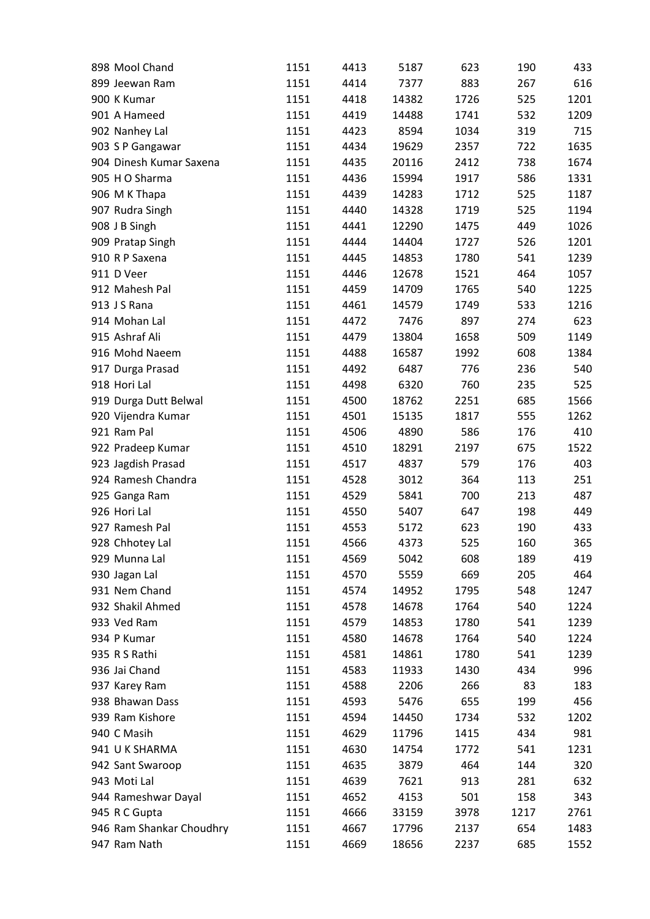| 898 Mool Chand           | 1151 | 4413 | 5187  | 623  | 190  | 433  |
|--------------------------|------|------|-------|------|------|------|
| 899 Jeewan Ram           | 1151 | 4414 | 7377  | 883  | 267  | 616  |
| 900 K Kumar              | 1151 | 4418 | 14382 | 1726 | 525  | 1201 |
| 901 A Hameed             | 1151 | 4419 | 14488 | 1741 | 532  | 1209 |
| 902 Nanhey Lal           | 1151 | 4423 | 8594  | 1034 | 319  | 715  |
| 903 S P Gangawar         | 1151 | 4434 | 19629 | 2357 | 722  | 1635 |
| 904 Dinesh Kumar Saxena  | 1151 | 4435 | 20116 | 2412 | 738  | 1674 |
| 905 H O Sharma           | 1151 | 4436 | 15994 | 1917 | 586  | 1331 |
| 906 M K Thapa            | 1151 | 4439 | 14283 | 1712 | 525  | 1187 |
| 907 Rudra Singh          | 1151 | 4440 | 14328 | 1719 | 525  | 1194 |
| 908 J B Singh            | 1151 | 4441 | 12290 | 1475 | 449  | 1026 |
| 909 Pratap Singh         | 1151 | 4444 | 14404 | 1727 | 526  | 1201 |
| 910 R P Saxena           | 1151 | 4445 | 14853 | 1780 | 541  | 1239 |
| 911 D Veer               | 1151 | 4446 | 12678 | 1521 | 464  | 1057 |
| 912 Mahesh Pal           | 1151 | 4459 | 14709 | 1765 | 540  | 1225 |
| 913 J S Rana             | 1151 | 4461 | 14579 | 1749 | 533  | 1216 |
| 914 Mohan Lal            | 1151 | 4472 | 7476  | 897  | 274  | 623  |
| 915 Ashraf Ali           | 1151 | 4479 | 13804 | 1658 | 509  | 1149 |
| 916 Mohd Naeem           | 1151 | 4488 | 16587 | 1992 | 608  | 1384 |
| 917 Durga Prasad         | 1151 | 4492 | 6487  | 776  | 236  | 540  |
| 918 Hori Lal             | 1151 | 4498 | 6320  | 760  | 235  | 525  |
| 919 Durga Dutt Belwal    | 1151 | 4500 | 18762 | 2251 | 685  | 1566 |
| 920 Vijendra Kumar       | 1151 | 4501 | 15135 | 1817 | 555  | 1262 |
| 921 Ram Pal              | 1151 | 4506 | 4890  | 586  | 176  | 410  |
| 922 Pradeep Kumar        | 1151 | 4510 | 18291 | 2197 | 675  | 1522 |
| 923 Jagdish Prasad       | 1151 | 4517 | 4837  | 579  | 176  | 403  |
| 924 Ramesh Chandra       | 1151 | 4528 | 3012  | 364  | 113  | 251  |
| 925 Ganga Ram            | 1151 | 4529 | 5841  | 700  | 213  | 487  |
| 926 Hori Lal             | 1151 | 4550 | 5407  | 647  | 198  | 449  |
| 927 Ramesh Pal           | 1151 | 4553 | 5172  | 623  | 190  | 433  |
| 928 Chhotey Lal          | 1151 | 4566 | 4373  | 525  | 160  | 365  |
| 929 Munna Lal            | 1151 | 4569 | 5042  | 608  | 189  | 419  |
| 930 Jagan Lal            | 1151 | 4570 | 5559  | 669  | 205  | 464  |
| 931 Nem Chand            | 1151 | 4574 | 14952 | 1795 | 548  | 1247 |
| 932 Shakil Ahmed         | 1151 | 4578 | 14678 | 1764 | 540  | 1224 |
| 933 Ved Ram              | 1151 | 4579 | 14853 | 1780 | 541  | 1239 |
| 934 P Kumar              | 1151 | 4580 | 14678 | 1764 | 540  | 1224 |
| 935 R S Rathi            | 1151 | 4581 | 14861 | 1780 | 541  | 1239 |
| 936 Jai Chand            | 1151 | 4583 | 11933 | 1430 | 434  | 996  |
| 937 Karey Ram            | 1151 | 4588 | 2206  | 266  | 83   | 183  |
| 938 Bhawan Dass          | 1151 |      | 5476  | 655  | 199  |      |
| 939 Ram Kishore          |      | 4593 |       |      |      | 456  |
|                          | 1151 | 4594 | 14450 | 1734 | 532  | 1202 |
| 940 C Masih              | 1151 | 4629 | 11796 | 1415 | 434  | 981  |
| 941 U K SHARMA           | 1151 | 4630 | 14754 | 1772 | 541  | 1231 |
| 942 Sant Swaroop         | 1151 | 4635 | 3879  | 464  | 144  | 320  |
| 943 Moti Lal             | 1151 | 4639 | 7621  | 913  | 281  | 632  |
| 944 Rameshwar Dayal      | 1151 | 4652 | 4153  | 501  | 158  | 343  |
| 945 R C Gupta            | 1151 | 4666 | 33159 | 3978 | 1217 | 2761 |
| 946 Ram Shankar Choudhry | 1151 | 4667 | 17796 | 2137 | 654  | 1483 |
| 947 Ram Nath             | 1151 | 4669 | 18656 | 2237 | 685  | 1552 |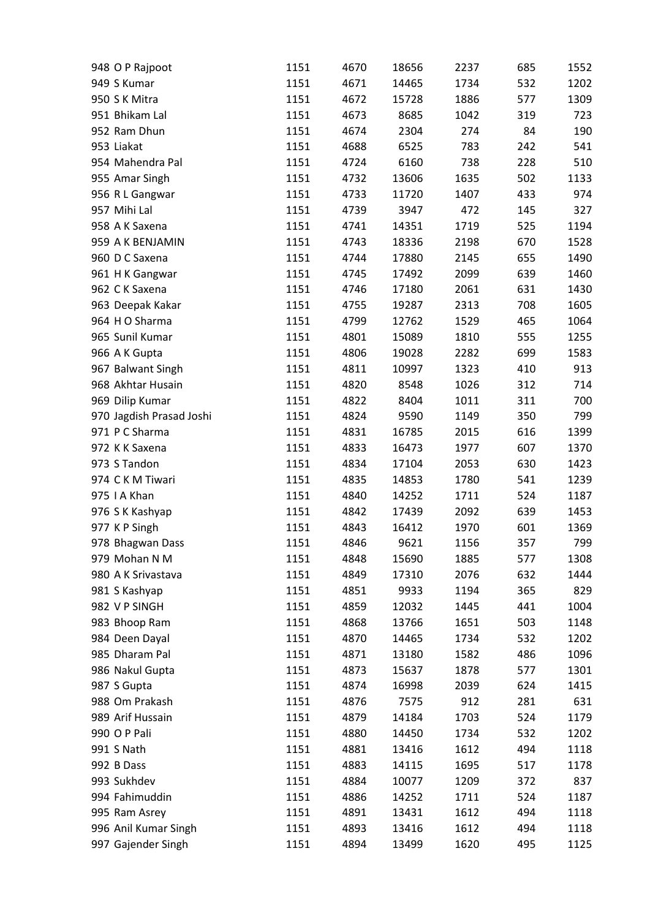| 948 O P Rajpoot          | 1151 | 4670 | 18656 | 2237 | 685 | 1552 |
|--------------------------|------|------|-------|------|-----|------|
| 949 S Kumar              | 1151 | 4671 | 14465 | 1734 | 532 | 1202 |
| 950 S K Mitra            | 1151 | 4672 | 15728 | 1886 | 577 | 1309 |
| 951 Bhikam Lal           | 1151 | 4673 | 8685  | 1042 | 319 | 723  |
| 952 Ram Dhun             | 1151 | 4674 | 2304  | 274  | 84  | 190  |
| 953 Liakat               | 1151 | 4688 | 6525  | 783  | 242 | 541  |
| 954 Mahendra Pal         | 1151 | 4724 | 6160  | 738  | 228 | 510  |
| 955 Amar Singh           | 1151 | 4732 | 13606 | 1635 | 502 | 1133 |
| 956 R L Gangwar          | 1151 | 4733 | 11720 | 1407 | 433 | 974  |
| 957 Mihi Lal             | 1151 | 4739 | 3947  | 472  | 145 | 327  |
| 958 A K Saxena           | 1151 | 4741 | 14351 | 1719 | 525 | 1194 |
| 959 A K BENJAMIN         | 1151 | 4743 | 18336 | 2198 | 670 | 1528 |
| 960 D C Saxena           | 1151 | 4744 | 17880 | 2145 | 655 | 1490 |
| 961 H K Gangwar          | 1151 | 4745 | 17492 | 2099 | 639 | 1460 |
| 962 CK Saxena            | 1151 | 4746 | 17180 | 2061 | 631 | 1430 |
| 963 Deepak Kakar         | 1151 | 4755 | 19287 | 2313 | 708 | 1605 |
| 964 H O Sharma           | 1151 | 4799 | 12762 | 1529 | 465 | 1064 |
| 965 Sunil Kumar          | 1151 | 4801 | 15089 | 1810 | 555 | 1255 |
| 966 A K Gupta            | 1151 | 4806 | 19028 | 2282 | 699 | 1583 |
| 967 Balwant Singh        | 1151 | 4811 | 10997 | 1323 | 410 | 913  |
| 968 Akhtar Husain        | 1151 | 4820 | 8548  | 1026 | 312 | 714  |
| 969 Dilip Kumar          | 1151 | 4822 | 8404  | 1011 | 311 | 700  |
| 970 Jagdish Prasad Joshi | 1151 | 4824 | 9590  | 1149 | 350 | 799  |
| 971 P C Sharma           | 1151 | 4831 | 16785 | 2015 | 616 | 1399 |
| 972 K K Saxena           | 1151 | 4833 | 16473 | 1977 | 607 | 1370 |
| 973 S Tandon             | 1151 |      |       |      |     | 1423 |
|                          |      | 4834 | 17104 | 2053 | 630 |      |
| 974 CKM Tiwari           | 1151 | 4835 | 14853 | 1780 | 541 | 1239 |
| 975   A Khan             | 1151 | 4840 | 14252 | 1711 | 524 | 1187 |
| 976 S K Kashyap          | 1151 | 4842 | 17439 | 2092 | 639 | 1453 |
| 977 KP Singh             | 1151 | 4843 | 16412 | 1970 | 601 | 1369 |
| 978 Bhagwan Dass         | 1151 | 4846 | 9621  | 1156 | 357 | 799  |
| 979 Mohan N M            | 1151 | 4848 | 15690 | 1885 | 577 | 1308 |
| 980 A K Srivastava       | 1151 | 4849 | 17310 | 2076 | 632 | 1444 |
| 981 S Kashyap            | 1151 | 4851 | 9933  | 1194 | 365 | 829  |
| 982 V P SINGH            | 1151 | 4859 | 12032 | 1445 | 441 | 1004 |
| 983 Bhoop Ram            | 1151 | 4868 | 13766 | 1651 | 503 | 1148 |
| 984 Deen Dayal           | 1151 | 4870 | 14465 | 1734 | 532 | 1202 |
| 985 Dharam Pal           | 1151 | 4871 | 13180 | 1582 | 486 | 1096 |
| 986 Nakul Gupta          | 1151 | 4873 | 15637 | 1878 | 577 | 1301 |
| 987 S Gupta              | 1151 | 4874 | 16998 | 2039 | 624 | 1415 |
| 988 Om Prakash           | 1151 | 4876 | 7575  | 912  | 281 | 631  |
| 989 Arif Hussain         | 1151 | 4879 | 14184 | 1703 | 524 | 1179 |
| 990 O P Pali             | 1151 | 4880 | 14450 | 1734 | 532 | 1202 |
| 991 S Nath               | 1151 | 4881 | 13416 | 1612 | 494 | 1118 |
| 992 B Dass               | 1151 | 4883 | 14115 | 1695 | 517 | 1178 |
| 993 Sukhdev              | 1151 | 4884 | 10077 | 1209 | 372 | 837  |
| 994 Fahimuddin           | 1151 | 4886 | 14252 | 1711 | 524 | 1187 |
| 995 Ram Asrey            | 1151 | 4891 | 13431 | 1612 | 494 | 1118 |
| 996 Anil Kumar Singh     | 1151 | 4893 | 13416 | 1612 | 494 | 1118 |
| 997 Gajender Singh       | 1151 | 4894 | 13499 | 1620 | 495 | 1125 |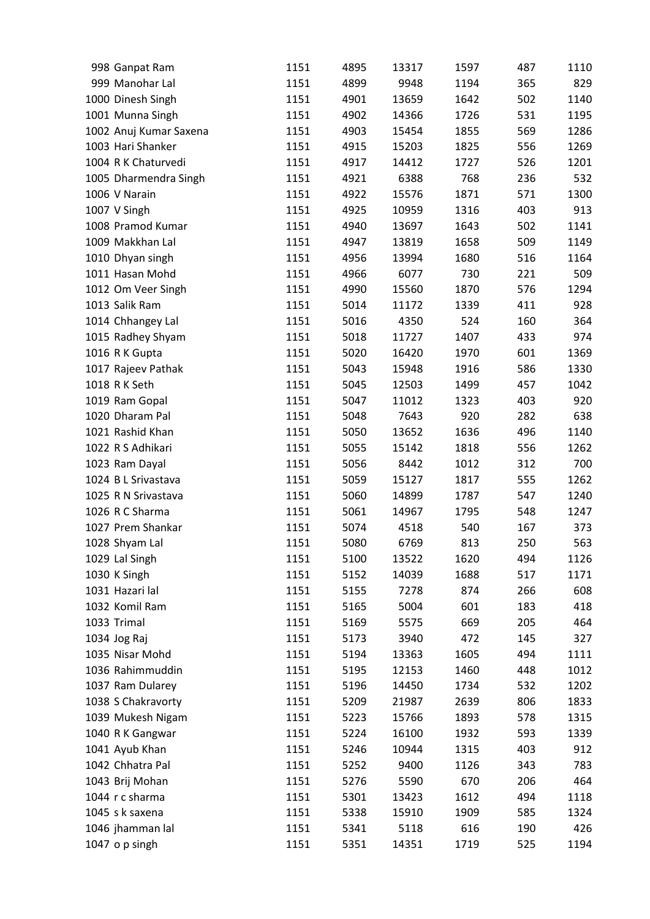| 998 Ganpat Ram         | 1151 | 4895 | 13317 | 1597 | 487 | 1110 |
|------------------------|------|------|-------|------|-----|------|
| 999 Manohar Lal        | 1151 | 4899 | 9948  | 1194 | 365 | 829  |
| 1000 Dinesh Singh      | 1151 | 4901 | 13659 | 1642 | 502 | 1140 |
| 1001 Munna Singh       | 1151 | 4902 | 14366 | 1726 | 531 | 1195 |
| 1002 Anuj Kumar Saxena | 1151 | 4903 | 15454 | 1855 | 569 | 1286 |
| 1003 Hari Shanker      | 1151 | 4915 | 15203 | 1825 | 556 | 1269 |
| 1004 R K Chaturvedi    | 1151 | 4917 | 14412 | 1727 | 526 | 1201 |
| 1005 Dharmendra Singh  | 1151 | 4921 | 6388  | 768  | 236 | 532  |
| 1006 V Narain          | 1151 | 4922 | 15576 | 1871 | 571 | 1300 |
| 1007 V Singh           | 1151 | 4925 | 10959 | 1316 | 403 | 913  |
| 1008 Pramod Kumar      | 1151 | 4940 | 13697 | 1643 | 502 | 1141 |
| 1009 Makkhan Lal       | 1151 | 4947 | 13819 | 1658 | 509 | 1149 |
| 1010 Dhyan singh       | 1151 | 4956 | 13994 | 1680 | 516 | 1164 |
| 1011 Hasan Mohd        | 1151 | 4966 | 6077  | 730  | 221 | 509  |
| 1012 Om Veer Singh     | 1151 | 4990 | 15560 | 1870 | 576 | 1294 |
| 1013 Salik Ram         | 1151 | 5014 | 11172 | 1339 | 411 | 928  |
| 1014 Chhangey Lal      | 1151 | 5016 | 4350  | 524  | 160 | 364  |
| 1015 Radhey Shyam      | 1151 | 5018 | 11727 | 1407 | 433 | 974  |
| 1016 R K Gupta         | 1151 | 5020 | 16420 | 1970 | 601 | 1369 |
| 1017 Rajeev Pathak     | 1151 | 5043 | 15948 | 1916 | 586 | 1330 |
| 1018 R K Seth          | 1151 | 5045 | 12503 | 1499 | 457 | 1042 |
| 1019 Ram Gopal         |      |      |       |      |     | 920  |
|                        | 1151 | 5047 | 11012 | 1323 | 403 |      |
| 1020 Dharam Pal        | 1151 | 5048 | 7643  | 920  | 282 | 638  |
| 1021 Rashid Khan       | 1151 | 5050 | 13652 | 1636 | 496 | 1140 |
| 1022 R S Adhikari      | 1151 | 5055 | 15142 | 1818 | 556 | 1262 |
| 1023 Ram Dayal         | 1151 | 5056 | 8442  | 1012 | 312 | 700  |
| 1024 B L Srivastava    | 1151 | 5059 | 15127 | 1817 | 555 | 1262 |
| 1025 R N Srivastava    | 1151 | 5060 | 14899 | 1787 | 547 | 1240 |
| 1026 R C Sharma        | 1151 | 5061 | 14967 | 1795 | 548 | 1247 |
| 1027 Prem Shankar      | 1151 | 5074 | 4518  | 540  | 167 | 373  |
| 1028 Shyam Lal         | 1151 | 5080 | 6769  | 813  | 250 | 563  |
| 1029 Lal Singh         | 1151 | 5100 | 13522 | 1620 | 494 | 1126 |
| 1030 K Singh           | 1151 | 5152 | 14039 | 1688 | 517 | 1171 |
| 1031 Hazari lal        | 1151 | 5155 | 7278  | 874  | 266 | 608  |
| 1032 Komil Ram         | 1151 | 5165 | 5004  | 601  | 183 | 418  |
| 1033 Trimal            | 1151 | 5169 | 5575  | 669  | 205 | 464  |
| 1034 Jog Raj           | 1151 | 5173 | 3940  | 472  | 145 | 327  |
| 1035 Nisar Mohd        | 1151 | 5194 | 13363 | 1605 | 494 | 1111 |
| 1036 Rahimmuddin       | 1151 | 5195 | 12153 | 1460 | 448 | 1012 |
| 1037 Ram Dularey       | 1151 | 5196 | 14450 | 1734 | 532 | 1202 |
| 1038 S Chakravorty     | 1151 | 5209 | 21987 | 2639 | 806 | 1833 |
| 1039 Mukesh Nigam      | 1151 | 5223 | 15766 | 1893 | 578 | 1315 |
| 1040 R K Gangwar       | 1151 | 5224 | 16100 | 1932 | 593 | 1339 |
| 1041 Ayub Khan         | 1151 | 5246 | 10944 | 1315 | 403 | 912  |
| 1042 Chhatra Pal       | 1151 | 5252 | 9400  | 1126 | 343 | 783  |
| 1043 Brij Mohan        | 1151 | 5276 | 5590  | 670  | 206 | 464  |
| 1044 r c sharma        | 1151 | 5301 | 13423 | 1612 | 494 | 1118 |
| 1045 s k saxena        | 1151 | 5338 | 15910 | 1909 | 585 | 1324 |
| 1046 jhamman lal       | 1151 | 5341 | 5118  | 616  | 190 | 426  |
| 1047 o p singh         | 1151 | 5351 | 14351 | 1719 | 525 | 1194 |
|                        |      |      |       |      |     |      |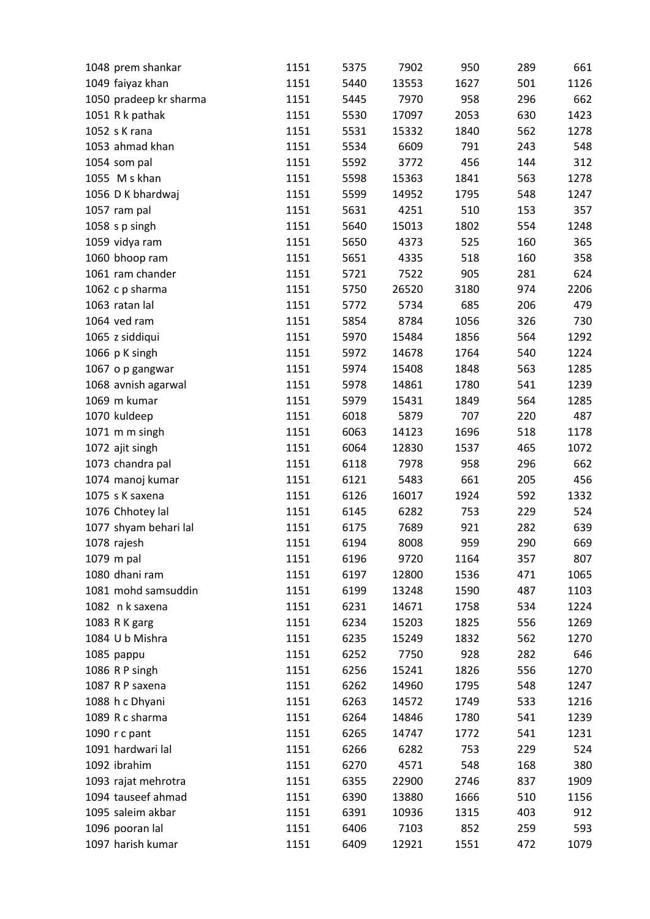| 1048 prem shankar      | 1151 | 5375 | 7902  | 950  | 289 | 661  |
|------------------------|------|------|-------|------|-----|------|
| 1049 faiyaz khan       | 1151 | 5440 | 13553 | 1627 | 501 | 1126 |
| 1050 pradeep kr sharma | 1151 | 5445 | 7970  | 958  | 296 | 662  |
| 1051 R k pathak        | 1151 | 5530 | 17097 | 2053 | 630 | 1423 |
| 1052 s K rana          | 1151 | 5531 | 15332 | 1840 | 562 | 1278 |
| 1053 ahmad khan        | 1151 | 5534 | 6609  | 791  | 243 | 548  |
| 1054 som pal           | 1151 | 5592 | 3772  | 456  | 144 | 312  |
| 1055 M s khan          | 1151 | 5598 | 15363 | 1841 | 563 | 1278 |
| 1056 D K bhardwaj      | 1151 | 5599 | 14952 | 1795 | 548 | 1247 |
| 1057 ram pal           | 1151 | 5631 | 4251  | 510  | 153 | 357  |
| 1058 s p singh         | 1151 | 5640 | 15013 | 1802 | 554 | 1248 |
| 1059 vidya ram         | 1151 | 5650 | 4373  | 525  | 160 | 365  |
| 1060 bhoop ram         | 1151 | 5651 | 4335  | 518  | 160 | 358  |
| 1061 ram chander       | 1151 | 5721 | 7522  | 905  | 281 | 624  |
| 1062 c p sharma        | 1151 | 5750 | 26520 | 3180 | 974 | 2206 |
| 1063 ratan lal         | 1151 | 5772 | 5734  | 685  | 206 | 479  |
| 1064 ved ram           | 1151 | 5854 | 8784  | 1056 | 326 | 730  |
| 1065 z siddiqui        | 1151 | 5970 | 15484 | 1856 | 564 | 1292 |
| 1066 p K singh         | 1151 | 5972 | 14678 | 1764 | 540 | 1224 |
| 1067 o p gangwar       | 1151 | 5974 | 15408 | 1848 | 563 | 1285 |
| 1068 avnish agarwal    | 1151 | 5978 | 14861 | 1780 | 541 | 1239 |
| 1069 m kumar           | 1151 | 5979 | 15431 | 1849 | 564 | 1285 |
| 1070 kuldeep           | 1151 | 6018 | 5879  | 707  | 220 | 487  |
| 1071 m m singh         | 1151 | 6063 | 14123 | 1696 | 518 | 1178 |
|                        |      | 6064 |       | 1537 | 465 | 1072 |
| 1072 ajit singh        | 1151 |      | 12830 |      |     |      |
| 1073 chandra pal       | 1151 | 6118 | 7978  | 958  | 296 | 662  |
| 1074 manoj kumar       | 1151 | 6121 | 5483  | 661  | 205 | 456  |
| 1075 s K saxena        | 1151 | 6126 | 16017 | 1924 | 592 | 1332 |
| 1076 Chhotey lal       | 1151 | 6145 | 6282  | 753  | 229 | 524  |
| 1077 shyam behari lal  | 1151 | 6175 | 7689  | 921  | 282 | 639  |
| 1078 rajesh            | 1151 | 6194 | 8008  | 959  | 290 | 669  |
| 1079 m pal             | 1151 | 6196 | 9720  | 1164 | 357 | 807  |
| 1080 dhani ram         | 1151 | 6197 | 12800 | 1536 | 471 | 1065 |
| 1081 mohd samsuddin    | 1151 | 6199 | 13248 | 1590 | 487 | 1103 |
| 1082 n k saxena        | 1151 | 6231 | 14671 | 1758 | 534 | 1224 |
| 1083 R K garg          | 1151 | 6234 | 15203 | 1825 | 556 | 1269 |
| 1084 U b Mishra        | 1151 | 6235 | 15249 | 1832 | 562 | 1270 |
| 1085 pappu             | 1151 | 6252 | 7750  | 928  | 282 | 646  |
| 1086 R P singh         | 1151 | 6256 | 15241 | 1826 | 556 | 1270 |
| 1087 R P saxena        | 1151 | 6262 | 14960 | 1795 | 548 | 1247 |
| 1088 h c Dhyani        | 1151 | 6263 | 14572 | 1749 | 533 | 1216 |
| 1089 R c sharma        | 1151 | 6264 | 14846 | 1780 | 541 | 1239 |
| 1090 r c pant          | 1151 | 6265 | 14747 | 1772 | 541 | 1231 |
| 1091 hardwari lal      | 1151 | 6266 | 6282  | 753  | 229 | 524  |
| 1092 ibrahim           | 1151 | 6270 | 4571  | 548  | 168 | 380  |
| 1093 rajat mehrotra    | 1151 | 6355 | 22900 | 2746 | 837 | 1909 |
| 1094 tauseef ahmad     | 1151 | 6390 | 13880 | 1666 | 510 | 1156 |
| 1095 saleim akbar      | 1151 | 6391 | 10936 | 1315 | 403 | 912  |
| 1096 pooran lal        | 1151 | 6406 | 7103  | 852  | 259 | 593  |
| 1097 harish kumar      | 1151 | 6409 | 12921 | 1551 | 472 | 1079 |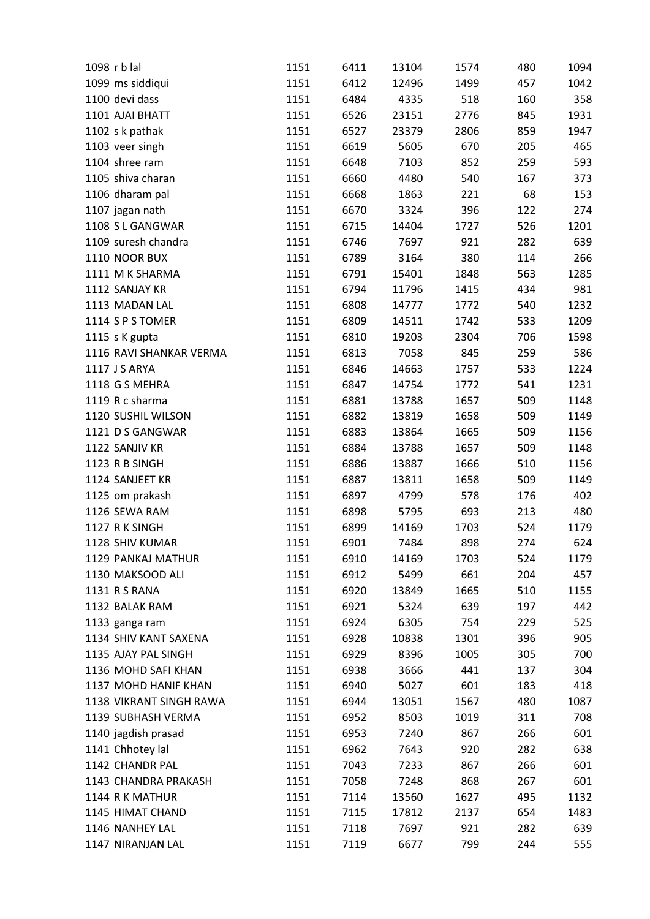| 1098 r b lal            | 1151 | 6411         | 13104 | 1574 | 480 | 1094 |
|-------------------------|------|--------------|-------|------|-----|------|
| 1099 ms siddiqui        | 1151 | 6412         | 12496 | 1499 | 457 | 1042 |
| 1100 devi dass          | 1151 | 6484         | 4335  | 518  | 160 | 358  |
| 1101 AJAI BHATT         | 1151 | 6526         | 23151 | 2776 | 845 | 1931 |
| 1102 s k pathak         | 1151 | 6527         | 23379 | 2806 | 859 | 1947 |
| 1103 veer singh         | 1151 | 6619         | 5605  | 670  | 205 | 465  |
| 1104 shree ram          | 1151 | 6648         | 7103  | 852  | 259 | 593  |
| 1105 shiva charan       | 1151 | 6660         | 4480  | 540  | 167 | 373  |
| 1106 dharam pal         | 1151 | 6668         | 1863  | 221  | 68  | 153  |
| 1107 jagan nath         | 1151 | 6670         | 3324  | 396  | 122 | 274  |
| 1108 S L GANGWAR        | 1151 | 6715         | 14404 | 1727 | 526 | 1201 |
| 1109 suresh chandra     | 1151 | 6746         | 7697  | 921  | 282 | 639  |
| 1110 NOOR BUX           | 1151 | 6789         | 3164  | 380  | 114 | 266  |
| 1111 M K SHARMA         | 1151 | 6791         | 15401 | 1848 | 563 | 1285 |
| 1112 SANJAY KR          | 1151 | 6794         | 11796 | 1415 | 434 | 981  |
| 1113 MADAN LAL          | 1151 | 6808         | 14777 | 1772 | 540 | 1232 |
| 1114 S P S TOMER        | 1151 | 6809         | 14511 | 1742 | 533 | 1209 |
| 1115 s K gupta          | 1151 | 6810         | 19203 | 2304 | 706 | 1598 |
| 1116 RAVI SHANKAR VERMA | 1151 | 6813         | 7058  | 845  | 259 | 586  |
| 1117 J S ARYA           | 1151 | 6846         | 14663 | 1757 | 533 | 1224 |
| 1118 G S MEHRA          | 1151 | 6847         | 14754 | 1772 | 541 | 1231 |
| 1119 R c sharma         | 1151 | 6881         | 13788 | 1657 | 509 | 1148 |
| 1120 SUSHIL WILSON      | 1151 | 6882         | 13819 | 1658 | 509 | 1149 |
| 1121 D S GANGWAR        | 1151 | 6883         | 13864 | 1665 | 509 | 1156 |
| 1122 SANJIV KR          | 1151 | 6884         | 13788 | 1657 | 509 | 1148 |
| 1123 R B SINGH          | 1151 | 6886         | 13887 | 1666 | 510 | 1156 |
| 1124 SANJEET KR         | 1151 | 6887         | 13811 | 1658 | 509 | 1149 |
| 1125 om prakash         | 1151 | 6897         | 4799  | 578  | 176 | 402  |
| 1126 SEWA RAM           |      |              |       | 693  |     | 480  |
|                         | 1151 | 6898         | 5795  |      | 213 |      |
| 1127 RK SINGH           | 1151 | 6899<br>6901 | 14169 | 1703 | 524 | 1179 |
| 1128 SHIV KUMAR         | 1151 |              | 7484  | 898  | 274 | 624  |
| 1129 PANKAJ MATHUR      | 1151 | 6910         | 14169 | 1703 | 524 | 1179 |
| 1130 MAKSOOD ALI        | 1151 | 6912         | 5499  | 661  | 204 | 457  |
| 1131 R S RANA           | 1151 | 6920         | 13849 | 1665 | 510 | 1155 |
| 1132 BALAK RAM          | 1151 | 6921         | 5324  | 639  | 197 | 442  |
| 1133 ganga ram          | 1151 | 6924         | 6305  | 754  | 229 | 525  |
| 1134 SHIV KANT SAXENA   | 1151 | 6928         | 10838 | 1301 | 396 | 905  |
| 1135 AJAY PAL SINGH     | 1151 | 6929         | 8396  | 1005 | 305 | 700  |
| 1136 MOHD SAFI KHAN     | 1151 | 6938         | 3666  | 441  | 137 | 304  |
| 1137 MOHD HANIF KHAN    | 1151 | 6940         | 5027  | 601  | 183 | 418  |
| 1138 VIKRANT SINGH RAWA | 1151 | 6944         | 13051 | 1567 | 480 | 1087 |
| 1139 SUBHASH VERMA      | 1151 | 6952         | 8503  | 1019 | 311 | 708  |
| 1140 jagdish prasad     | 1151 | 6953         | 7240  | 867  | 266 | 601  |
| 1141 Chhotey lal        | 1151 | 6962         | 7643  | 920  | 282 | 638  |
| 1142 CHANDR PAL         | 1151 | 7043         | 7233  | 867  | 266 | 601  |
| 1143 CHANDRA PRAKASH    | 1151 | 7058         | 7248  | 868  | 267 | 601  |
| 1144 R K MATHUR         | 1151 | 7114         | 13560 | 1627 | 495 | 1132 |
| 1145 HIMAT CHAND        | 1151 | 7115         | 17812 | 2137 | 654 | 1483 |
| 1146 NANHEY LAL         | 1151 | 7118         | 7697  | 921  | 282 | 639  |
| 1147 NIRANJAN LAL       | 1151 | 7119         | 6677  | 799  | 244 | 555  |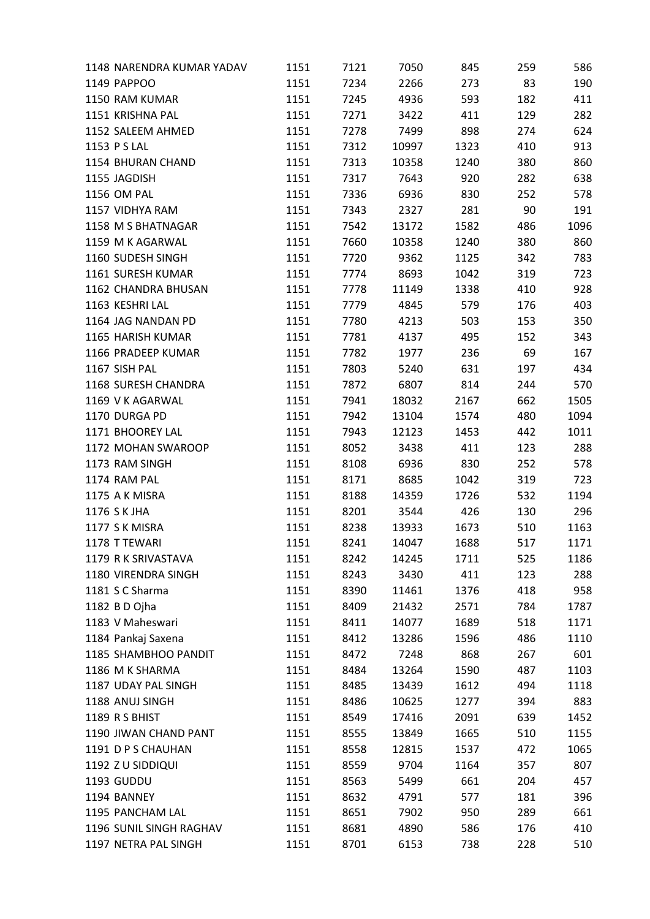| 1148 NARENDRA KUMAR YADAV | 1151 | 7121 | 7050  | 845  | 259 | 586  |
|---------------------------|------|------|-------|------|-----|------|
| 1149 PAPPOO               | 1151 | 7234 | 2266  | 273  | 83  | 190  |
| 1150 RAM KUMAR            | 1151 | 7245 | 4936  | 593  | 182 | 411  |
| 1151 KRISHNA PAL          | 1151 | 7271 | 3422  | 411  | 129 | 282  |
| 1152 SALEEM AHMED         | 1151 | 7278 | 7499  | 898  | 274 | 624  |
| 1153 P S LAL              | 1151 | 7312 | 10997 | 1323 | 410 | 913  |
| 1154 BHURAN CHAND         | 1151 | 7313 | 10358 | 1240 | 380 | 860  |
| 1155 JAGDISH              | 1151 | 7317 | 7643  | 920  | 282 | 638  |
| 1156 OM PAL               | 1151 | 7336 | 6936  | 830  | 252 | 578  |
| 1157 VIDHYA RAM           | 1151 | 7343 | 2327  | 281  | 90  | 191  |
| 1158 M S BHATNAGAR        | 1151 | 7542 | 13172 | 1582 | 486 | 1096 |
| 1159 M K AGARWAL          | 1151 | 7660 | 10358 | 1240 | 380 | 860  |
| 1160 SUDESH SINGH         | 1151 | 7720 | 9362  | 1125 | 342 | 783  |
| 1161 SURESH KUMAR         | 1151 | 7774 | 8693  | 1042 | 319 | 723  |
| 1162 CHANDRA BHUSAN       | 1151 | 7778 | 11149 | 1338 | 410 | 928  |
| 1163 KESHRI LAL           | 1151 | 7779 | 4845  | 579  | 176 | 403  |
| 1164 JAG NANDAN PD        | 1151 | 7780 | 4213  | 503  | 153 | 350  |
| 1165 HARISH KUMAR         | 1151 | 7781 | 4137  | 495  | 152 | 343  |
| 1166 PRADEEP KUMAR        | 1151 | 7782 | 1977  | 236  | 69  | 167  |
| 1167 SISH PAL             | 1151 | 7803 | 5240  | 631  | 197 | 434  |
| 1168 SURESH CHANDRA       | 1151 | 7872 | 6807  | 814  | 244 | 570  |
| 1169 V K AGARWAL          | 1151 | 7941 | 18032 | 2167 | 662 | 1505 |
| 1170 DURGA PD             | 1151 | 7942 | 13104 | 1574 | 480 | 1094 |
| 1171 BHOOREY LAL          | 1151 | 7943 | 12123 | 1453 | 442 | 1011 |
| 1172 MOHAN SWAROOP        | 1151 | 8052 | 3438  | 411  | 123 | 288  |
| 1173 RAM SINGH            | 1151 | 8108 | 6936  | 830  | 252 | 578  |
| 1174 RAM PAL              | 1151 | 8171 | 8685  | 1042 | 319 | 723  |
| 1175 A K MISRA            | 1151 | 8188 | 14359 | 1726 | 532 | 1194 |
| 1176 S K JHA              | 1151 | 8201 | 3544  | 426  | 130 | 296  |
| 1177 S K MISRA            | 1151 | 8238 | 13933 | 1673 | 510 | 1163 |
| 1178 T TEWARI             | 1151 | 8241 | 14047 | 1688 | 517 | 1171 |
| 1179 R K SRIVASTAVA       | 1151 | 8242 | 14245 | 1711 | 525 | 1186 |
| 1180 VIRENDRA SINGH       | 1151 | 8243 | 3430  | 411  | 123 | 288  |
| 1181 S C Sharma           | 1151 | 8390 | 11461 | 1376 | 418 | 958  |
| 1182 B D Ojha             | 1151 | 8409 | 21432 | 2571 | 784 | 1787 |
| 1183 V Maheswari          | 1151 | 8411 | 14077 | 1689 | 518 | 1171 |
| 1184 Pankaj Saxena        | 1151 | 8412 | 13286 | 1596 | 486 | 1110 |
| 1185 SHAMBHOO PANDIT      | 1151 | 8472 | 7248  | 868  | 267 | 601  |
| 1186 M K SHARMA           | 1151 | 8484 | 13264 | 1590 | 487 | 1103 |
| 1187 UDAY PAL SINGH       | 1151 | 8485 | 13439 | 1612 | 494 | 1118 |
| 1188 ANUJ SINGH           | 1151 | 8486 | 10625 | 1277 | 394 | 883  |
| 1189 R S BHIST            | 1151 | 8549 | 17416 | 2091 | 639 | 1452 |
| 1190 JIWAN CHAND PANT     | 1151 | 8555 | 13849 | 1665 | 510 | 1155 |
| 1191 D P S CHAUHAN        | 1151 | 8558 | 12815 | 1537 | 472 | 1065 |
| 1192 Z U SIDDIQUI         | 1151 | 8559 | 9704  | 1164 | 357 | 807  |
| 1193 GUDDU                | 1151 | 8563 | 5499  | 661  | 204 | 457  |
| 1194 BANNEY               | 1151 | 8632 | 4791  | 577  | 181 | 396  |
| 1195 PANCHAM LAL          | 1151 | 8651 | 7902  | 950  | 289 | 661  |
| 1196 SUNIL SINGH RAGHAV   | 1151 | 8681 | 4890  | 586  | 176 | 410  |
| 1197 NETRA PAL SINGH      | 1151 | 8701 | 6153  | 738  | 228 | 510  |
|                           |      |      |       |      |     |      |